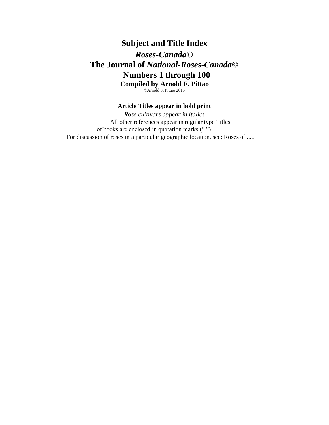# **Subject and Title Index** *Roses-Canada***© The Journal of** *National-Roses-Canada***© Numbers 1 through 100 Compiled by Arnold F. Pittao** ©Arnold F. Pittao 2015

## **Article Titles appear in bold print**

*Rose cultivars appear in italics* All other references appear in regular type Titles of books are enclosed in quotation marks (" ") For discussion of roses in a particular geographic location, see: Roses of .....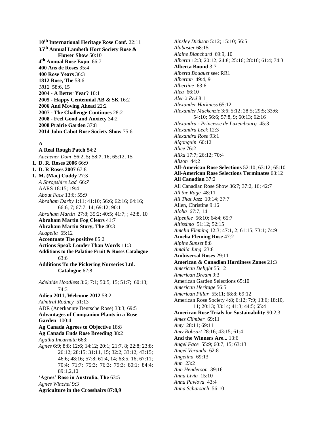**10 th International Heritage Rose Conf.** 22:11 **35th Annual Lambeth Hort Society Rose & Flower Show** 50:10 **4 th Annual Rose Expo** 66:7 **400 Ans de Roses** 35:4 **400 Rose Years** 36:3 **1812 Rose, The** 58:6 *1812* 58:6, 15 **2004 - A Better Year?** 10:1 **2005 - Happy Centennial AB & SK** 16:2 **2006 And Moving Ahead** 22:2 **2007 - The Challenge Continues** 28:2 **2008 - Feel Good and Anxiety** 34:2 **2008 Prairie Garden** 37:8 **2014 John Cabot Rose Society Show** 75:6

## **A**

**A Real Rough Patch** 84:2 *Aachener Dom* 56:2, 5**;** 58:**7**, 16; 65:12, 15 **1. D. R. Roses 2006** 66:9 **1. D. R Roses 2007** 67:8 **1. M. (Mac) Cuddy** 27:3 *A Shropshire Lad* 66:*7* AARS 18:15; 19:4 *About Face* 13:6; 55:9 *Abraham Darby* 1:11; 41:10; 56:6; 62:16; 64:16; 66:6, 7; 67:7, 14; 69:12; 90:1 *Abraham Martin* 27:8; 35:2; 40:5; 41:7; ; 42:8, 10 **Abraham Martin Fog Clears** 41:7 **Abraham Martin Story, The** 40:3 *Acapella* 65:12 **Accentuate The positive** 85:2 **Actions Speak Louder Than Words** 11:3 **Additions to the Palatine Fruit & Roses Catalogue** 63:6 **Additions To the Pickering Nurseries Ltd. Catalogue** 62:8 *Adelaide Hoodless* 3:6; 7:1; 50:5, 15; 51:7; 60:13; 74:3 **Adieu 2011, Welcome 2012** 58:2 *Admiral Rodney* 51:13 ADR (Anerkannte Deutsche Rose) 33:3; 69:5 **Advantages of Companion Plants in a Rose Garden** 100:4 **Ag Canada Agrees to Objective** 18:8 **Ag Canada Ends Rose Breeding** 38:2 *Agatha Incarnata* 663: *Agnes* 6:9; 8:8; 12:6; 14:12; 20:1; 21:7, 8; 22:8; 23:8; 26:12; 28:15; 31:11, 15; 32:2; 33:12; 43:15; 46:6; 48:16; 57:8; 61:4, 14; 63:5, 16; 67:11; 70:4; 71:7; 75:3; 76:3; 79:3; 80:1; 84:4; 89:1,2,10 **'Agnes' Rose in Australia, The** 63:5 *Agnes Winchel* 9:3 **Agriculture in the Crosshairs 87:8,9**

*Ainsley Dickson* 5:12; 15:10; 56:5 *Alabaster* 68:15 *Alaine Blanchard* 69:9, 10 *Alberta* 12:3; 20:12; 24:8; 25:16; 28:16; 61:4; 74:3 **Alberta Bound** 3:7 *Alberta Bouquet* see: RR1 *Albertan* 49:4, 9 *Albertine* 63:6 *Alea* 66:10 *Alec's Red* 8:1 *Alexander Harkness* 65:12 *Alexander Mackenzie* 3:6; 5:12; 28:5; 29:5; 33:6; 54:10; 56:6; 57:8, 9; 60:13; 62:16 *Alexandra - Princesse de Luxembourg* 45:3 *Alexandra Leek* 12:3 *Alexandra Rose* 93:1 *Algonquin* 60:12 *Alice* 76:2 *Alika* 17:7; 26:12; 70:4 *Alison* 44:2 **All-American Rose Selections** 52:10; 63:12; 65:10 **All-American Rose Selections Terminates** 63:12 **All Canadian** 37:2 All Canadian Rose Show 36:7; 37:2, 16; 42:7 *All the Rage* 48:11 *All That Jazz* 10:14; 37:7 Allen, Christine 9:16 *Aloha* 67:7, 14 *Alpenfee* 56:10; 64:4; 65:7 *Altissimo* 51:12; 52:15 *Amelia Fleming* 12:3; 47:1, 2; 61:15; 73:1; 74:9 **Amelia Fleming Rose** 47:2 *Alpine Sunset* 8:8 *Amalia Jung* 23:8 **Ambiversal Roses** 29:11 **American & Canadian Hardiness Zones** 21:3 *American Delight* 55:12 *American Dream* 9:3 American Garden Selections 65:10 *American Heritage* 56:5 *American Pillar* 55:11; 68:8; 69:12 American Rose Society 4:8; 6:12; 7:9; 13:6; 18:10, 11; 20:13; 33:14; 41:3; 44:5; 65:4 **American Rose Trials for Sustainability** 90:2,3 *Ames Climber* 69:11 *Amy* 28:11; 69:11 *Amy Robsart* 28:16; 43:15; 61:4 **And the Winners Are...** 13:6 *Angel Face* 55:9; 60:7, 15; 63:13 *Angel Veranda* 62:8 *Angelina* 69:13 *Ann* 23:2 *Ann Henderson* 39:16 *Anna Livia* 15:10 *Anna Pavlova* 43:4 *Anna Scharsach* 56:10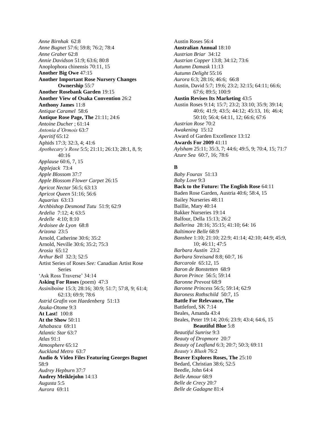*Anne Birnhak* 62:8 *Anne Bugnet* 57:6; 59:8; 76:2; 78:4 *Anne Graber* 62:8 *Annie Davidson* 51:9; 63:6; 80:8 Anoplophora chinensis 70:11, 15 **Another Big Owe** 47:15 **Another Important Rose Nursery Changes Ownership** 55:7 **Another Rosebank Garden** 19:15 **Another View of Osaka Convention** 26:2 **Anthony James** 11:8 *Antique Caramel* 58:6 **Antique Rose Page, The** 21:11; 24:6 *Antoine Ducher* ; 61:14 *Antonia d'Ormois* 63:7 *Aperitif* 65:12 Aphids 17:3; 32:3, 4; 41:6 *Apothecary's Rose* 5:5; 21:11; 26:13; 28:1, 8, 9; 40:16 *Applause* 60:6, 7, 15 *Applejack* 73:4 *Apple Blossom* 37:7 *Apple Blossom Flower Carpet* 26:15 *Apricot Nectar* 56:5; 63:13 *Apricot Queen* 51:16; 56:6 *Aquarius* 63:13 *Archbishop Desmond Tutu* 51:9; 62:9 *Ardelia* 7:12; 4; 63:5 *Ardelle* 4:10; 8:10 *Ardoisee de Lyon* 68:8 *Arizona* 23:5 Arnold, Catherine 30:6; 35:2 Arnold, Neville 30:6; 35:2; 75:3 *Arosia* 65:12 *Arthur Bell* 32:3; 52:5 Artist Series of Roses *See:* Canadian Artist Rose Series 'Ask Ross Traverse' 34:14 **Asking For Roses** (poem) 47:3 *Assiniboine* 15:3; 28:16; 30:9; 51:7; 57:8, 9; 61:4; 62:13; 69:9; 78:6 *Astrid Grafin von Haedenberg* 51:13 *Asuka-Otome* 9:3 **At Last!** 100:8 **At the Show** 50:11 *Athabasca* 69:11 *Atlantic Star* 63:7 *Atlas* 91:1 *Atmosphere* 65:12 *Auckland Metro* 63:7 **Audio & Video Files Featuring Georges Bugnet** 58:9 *Audrey Hepburn* 37:7 **Audrey Meiklejohn** 14:13 *Augusta* 5:5 *Aurora* 69:11

Austin Roses 56:4 **Australian Annual** 18:10 *Austrian Briar* 34:12 *Austrian Copper* 13:8; 34:12; 73:6 *Autumn Damask* 11:13 *Autumn Delight* 55:16 *Aurora* 6:3; 28:16; 46:6; 66:8 Austin, David 5:7; 19:6; 23:2; 32:15; 64:11; 66:6; 67:6; 89:5; 100:9 **Austin Revises Its Marketing** 43:5 Austin Roses 9:14; 15:7; 23:2; 33:10; 35:9; 39:14; 40:6; 41:9; 43:5; 44:12; 45:13, 16; 46:4; 50:10; 56:4; 64:11, 12; 66:6; 67:6 *Austrian Rose* 70:2 *Awakening* 15:12 Award of Garden Excellence 13:12 **Awards For 2009** 41:11 *Aylsham* 25:11; 35:3, 7; 44:6; 49:5, 9; 70:4, 15; 71:7 *Azure Sea* 60:7, 16; 78:6

## **B**

*Baby Fourax* 51:13 *Baby Love* 9:3 **Back to the Future: The English Rose** 64:11 Baden Rose Garden, Austria 40:6; 58:4, 15 Bailey Nurseries 48:11 Baillie, Mary 40:14 Bakker Nurseries 19:14 Balfour, Della 15:13; 26:2 *Ballerina* 28:16; 35:15; 41:10; 64: 16 *Baltimore Belle* 68:9 *Banshee* 1:10; 21:10; 22:9; 41:14; 42:10; 44:9; 45:9, 10; 46:11; 47:5 *Barbara Austin* 23:2 *Barbara Streisand* 8:8; 60:7, 16 *Barcarole* 65:12, 15 *Baron de Bonstetten* 68:9 *Baron Prince* 56:5; 59:14 *Baronne Prevost* 68:9 *Baronne Princess* 56:5; 59:14; 62:9 *Baroness Rothschild* 50:7, 15 **Battle For Relevance, The** Battleford, SK 7:14 Beales, Amanda 43:4 Beales, Peter 19:14; 20:6; 23:9; 43:4; 64:6, 15 **Beautiful Blue** 5:8 *Beautiful Sunrise* 9:3 *Beauty of Dropmore* 20:7 *Beauty of Leafland* 6:3; 20:7; 50:3; 69:11 *Beauty's Blush* 76:2 **Beaver Explores Roses, The** 25:10 Bedard, Christian 38:6; 52:5 Beedle, John 64:4 *Belle Amour* 68:9 *Belle de Crecy* 20:7 *Belle de Gadagne* 81:4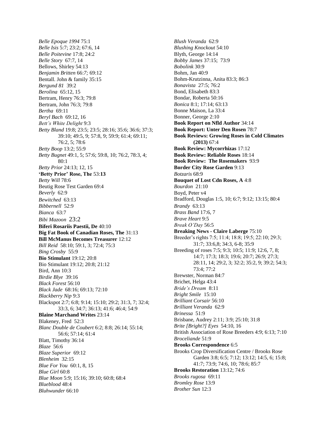*Belle Epoque 1994* 75:1 *Belle Isis* 5:7; 23:2; 67:6, 14 *Belle Poitevine* 17:8; 24:2 *Belle Story* 67:7, 14 Bellows, Shirley 54:13 *Benjamin Britten* 66:*7;* 69:12 Bentall. John & family 35:15 *Bergund 81* 39:2 *Berolina* 65:12, 15 Bertram, Henry 76:3; 79:8 Bertram, John 76:3; 79:8 *Bertha* 69:11 *Beryl Bach* 69:12, 16 *Bett's White Delight* 9:3 *Betty Bland* 19:8; 23:5; 23:5; 28:16; 35:6; 36:6; 37:3; 39:10; 49:5, 9; 57:8, 9; 59:9; 61:4; 69:11; 76:2, 5; 78:6 *Betty Boop* 13:2; 55:9 *Betty Bugnet* 49:1, 5; 57:6; 59:8, 10; 76:2, 78:3, 4; 80:1 *Betty Prior* 24:13; 12, 15 **'Betty Prior' Rose, The** 53:**13** *Betty Will* 78:6 Beutig Rose Test Garden 69:4 *Beverly* 62:9 *Bewitched* 63:13 *Bibbernell* 52:9 *Bianca* 63:7 *Bibi Mazoon* 23:2 **Biferi Rosariis Paestii, De** 40:10 **Big Fat Book of Canadian Roses, The** 31:13 **Bill McManus Becomes Treasurer** 12:12 *Bill Reid* 58:10; 59:1, 3; 72:4; 75:3 *Bing Crosby* 55:9 **Bio Stimulant** 19:12; 20:8 Bio Stimulant 19:12; 20:8; 21:12 Bird, Ann 10:3 *Birdie Blye* 39:16 *Black Forest* 56:10 *Black Jade* 68:16; 69:13; 72:10 *Blackberry Nip* 9:3 Blackspot 2:7; 6:8; 9:14; 15:10; 29:2; 31:3, 7; 32:4; 33:3, 6; 34:7; 36:13; 41:6; 46:4; 54:9 **Blaine Marchand Writes** 23:14 Blakeney, Fred 52:3 *Blanc Double de Coubert* 6:2; 8:8; 26:14; 55:14; 56:6; 57:14; 61:4 Blatt, Timothy 36:14 *Blaze* 56:6 *Blaze Superior* 69:12 *Blenheim* 32:15 *Blue For You* 60:1, 8, 15 *Blue Girl* 60:8 *Blue Moon* 5:9; 15:16; 39:10; 60:8; 68:4 *Blueblood* 48:4 *Bluhwunder* 66:10

*Blush Veranda* 62:9 *Blushing Knockout* 54:10 Blyth, George 14:14 *Bobby James* 37:15; 73:9 *Bobolink* 30:9 Bohm, Jan 40:9 Bohm-Krutzinna, Anita 83:3; 86:3 *Bonavista* 27:5; 76:2 Bond, Elisabeth 83:3 Bondar, Roberta 50:16 *Bonica* 8:1; 17:14; 63:13 Bonne Maison, La 33:4 Bonner, George 2:10 **Book Report on Nfld Author** 34:14 **Book Report: Unter Den Rosen** 78:7 **Book Reviews: Growing Roses in Cold Climates (2013)** 67:4 **Book Review: Mycorrhizas** 17:12 **Book Review: Reliable Roses** 18:14 **Book Review: The Rosemakers** 93:9 **Border City Rose Garden** 9:13 *Botzaris* 68:9 **Bouquet of Lost Cdn Roses, A** 4:8 *Bourdon* 21:10 Boyd, Peter v4 Bradford, Douglas 1:5, 10; 6:7; 9:12; 13:15; 80:4 *Brandy* 63:13 *Brass Band* 17:6, 7 *Brave Heart* 9:5 *Break O'Day* 56:5 **Breaking News - Claire Laberge** 75:10 Breeder's rights 7:5; 11:4; 18:8; 19:5; 22:10; 29:3; 31:7; 33:6,8; 34:3, 6-8; 35:9 Breeding of roses 7:5; 9:3; 10:5; 11:9; 12:6, 7, 8; 14:7; 17:3; 18:3; 19:6; 20:7; 26:9; 27:3; 28:11, 14; 29:2, 3; 32:2; 35:2, 9; 39:2; 54:3; 73:4; 77:2 Brewster, Norman 84:7 Brichet, Helga 43:4 *Bride's Dream* 8:11 *Bright Smile* 15:10 *Brilliant Corsair* 56:10 *Brilliant Veranda* 62:9 *Brinessa* 51:9 Brisbane, Audrey 2:11; 3:9; 25:10; 31:8 *Brite [Bright?] Eyes* 54:10, 16 British Association of Rose Breeders 4:9; 6:13; 7:10 *Broceliande* 51:9 **Brooks Correspondence** 6:5 Brooks Crop Diversification Centre / Brooks Rose Garden 3:8; 6:5; 7:12; 13:12; 14:5, 6; 15:8; 41:7; 73:9; 74:6, 10; 78:6; 85:7 **Brooks Restoration** 13:12; 74:6 *Brooks rugosa* 69:11 *Bromley Rose* 13:9 *Brother Sun* 12:3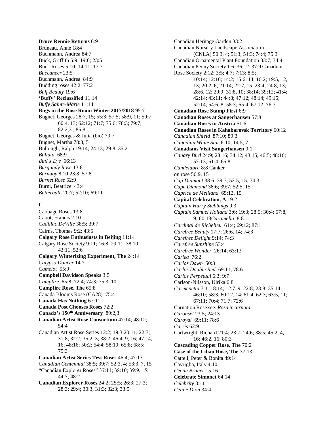#### **Bruce Rennie Returns** 6:9 Bruneau, Anne 18:4 Buchmann, Andrea 84:7 Buck, Griffith 5:9; 19:6; 23:5 Buck Roses 5:10; 14:11; 17:7 *Buccaneer* 23:5 Buchmann, Andrea 84:9 Budding roses 42:2; 77:2 *Buff Beauty* 19:6 **'Buffy' Reclassified** 11:14 *Buffy Sainte-Marie* 11:14 **Bugs in the Rose Room Winter 2017/2018** 95:7 Bugnet, Georges 28:7, 15; 55:3; 57:5; 58:9, 11; 59:7; 60:4, 13; 62:12; 71:7; 75:6; 78:3; 79:7; 82:2,3 ; 85:8 Bugnet, Georges & Julia (bio) 79:7 Bugnet, Martha 78:3, 5 Bullough, Ralph 19:14; 24:13; 29:8; 35:2 *Bullata* 68:9 *Bull's Eye* 66:13 *Burgundy Rose* 13:8 *Burnaby* 8:10;23:8; 57:8 *Burnet Rose* 52:9 Burni, Beatrice 43:4 *Butterball* 20:7; 52:10; 69:11

## **C**

Cabbage Roses 13:8 Cabot, Francis 2:10 *Cadillac DeVille* 38:5; 39:7 Cairns, Thomas 9:2; 43:5 **Calgary Rose Enthusiasts in Beijing** 11:14 Calgary Rose Society 9:11; 16:8; 29:11; 38:10; 43:11; 52:6 **Calgary Winterizing Experiment, The** 24:14 *Calypso Dancer* 14:7 *Camelot* 55:9 **Campbell Davidson Speaks** 3:5 *Campfire* 65:8; 72:4; 74:3; 75:3, 10 **Campfire Rose, The** 65:8 Canada Blooms Rose (CA28) 75:4 **Canada Has Nothing** 67:11 **Canada Post Chooses Roses** 72:2 **Canada's 150th Anniversary** 89:2,3 **Canadian Artist Rose Consortium** 47:14; 48:12; 54:4 Canadian Artist Rose Series 12:2; 19:3;20:11; 22:7; 31:8; 32:2; 35:2, 3; 38:2; 46:4, 9, 16; 47:14, 16; 48:16; 50:2; 54:4; 58:10; 65:8; 68:5; 75:3 **Canadian Artist Series Test Roses** 46:4; 47:13 *Canadian Centennial* 38:5; 39:7; 52:3, 4; 53:3, 7, 15 "Canadian Explorer Roses" 37:11; 38:10; 39:9, 15; 44:7; 48:2 **Canadian Explorer Roses** 24:2; 25:5; 26:3; 27:3; 28:3; 29:4; 30:3; 31:3; 32:3; 33:5

Canadian Heritage Garden 33:2 Canadian Nursery Landscape Association (CNLA) 50:3, 4; 51:3; 54:3; 74:4; 75:3 Canadian Ornamental Plant Foundation 33:7; 34:4 Canadian Peony Society 1:6; 36:12; 37:9 Canadian Rose Society 2:12; 3:5; 4:7; 7:13; 8:5; 10:14; 12:16; 14:2; 15:6, 14; 16:2; 19:5, 12, 13; 20:2, 6; 21:14; 22:7, 15; 23:4; 24:8, 13; 28:6, 12; 29:9; 31:8, 10; 38:14; 39:12; 41:4; 42:14; 43:11; 44:8; 47:12; 48:14; 49:15; 52:14; 54:6, 8; 58:3; 65:4; 67:12; 76:7 **Canadian Rose Stamp First** 6:9 **Canadian Roses at Sangerhausen** 57:8 **Canadian Roses in Austria** 51:6 **Canadian Roses in Kahabarovsk Territory** 60:12 *Canadian Shield* 87:10; 89:3 *Canadian White Star* 6:10; 14:5, 7 **Canadians Visit Sangerhausen** 9:1 *Canary Bird* 24:9; 28:16; 34:12; 43:15; 46:5; 48:16; 57:13; 61:4; 66:8 *Candelabra* 8:8 Canker on rose 56:9, 15 *Cap Diamant* 38:6; 39:7; 52:5, 15; 74:3 *Cape Diamond* 38:6; 39:7; 52:5, 15 *Caprice de Meilland* 65:12, 15 **Capital Celebration, A** 19:2 *Captain Harry Stebbings* 9:3 *Captain Samuel Holland* 3:6; 19:3; 28:5; 30:4; 57:8, 9; 60:13*Caramella* 8:8 *Cardinal de Richelieu* 61:4; 69:12; 87:1 *Carefree Beauty* 17:7; 26:6, 14; 74:3 *Carefree Delight* 9:14; 74:3 *Carefree Sunshine* 53:4 *Carefree Wonder* 26:14; 63:13 *Carlea* 76:2 *Carlos Dawn* 50:3 *Carlos Double Red* 69:11; 78:6 *Carlos Perpetual* 6:3; 9:7 Carlson-Nilsson, Ulrika 6:8 *Carmenetta* 7:11; 8:14; 12:7, 9; 22:8; 23:8; 35:14; 46:10; 58:3; 60:12, 14; 61:4; 62:3; 63:5, 11; 67:11; 70:4; 71:7; 72:6 Carnation Rose see: *Rosa incarnata Carousel* 23:5; 24:13 *Caroyal* 69:11; 78:6 *Carris* 62:9 Cartwright, Richard 21:4; 23:7; 24:6; 38:5; 45:2, 4, 16; 46:2, 16; 80:3 **Cascading Copper Rose, The** 70:2 **Case of the Libau Rose, The** 37:13 Cattell, Peter & Bonita 49:14 Cavriglia, Italy 4:10 *Cecile Bruner* 15:16 **Celebrate Simonet** 64:14 *Celebrity* 8:11 *Celine Dion* 34:4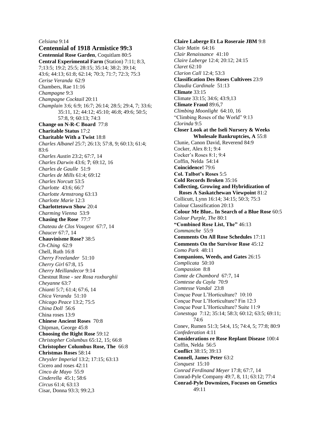#### *Celsiana* 9:14

**Centennial of 1918 Armistice 99:3 Centennial Rose Garden**, Coquitlam 80:5 **Central Experimental Farm** (Station) 7:11; 8:3, 7;13:5; 19:2; 25:5; 28:15; 35:14; 38:2; 39:14; 43:6; 44:13; 61:8; 62:14; 70:3; 71:7; 72:3; 75:3 *Cerise Veranda* 62:9 Chambers, Rae 11:16 *Champagne* 9:3 *Champagne Cocktail* 20:11 *Champlain* 3:6; 6:9; 16:7; 26:14; 28:5; 29:4, 7; 33:6; 35:11, 12; 44:12; 45:10; 46:8; 49:6; 50:5; 57:8, 9; 60:13; 74:3 **Change on N-R-C Board** 77:8 **Charitable Status** 17:2 **Charitable With a Twist** 18:8 *Charles Albanel* 25:7; 26:13; 57:8, 9; 60:13; 61:4; 83:6 *Charles Austin* 23:2; 67:7, 14 *Charles Darwin* 43:6; **7**; 69:12, 16 *Charles de Gaulle* 51:9 *Charles de Mills* 61:4; 69:12 *Charles Norcutt* 53:5 *Charlotte* 43:6; 66:7 *Charlotte Armstrong* 63:13 *Charlotte Marie* 12:3 **Charlottetown Show** 20:4 *Charming Vienna* 53:9 **Chasing the Rose** 77:7 *Chateau de Clos Vougeot* 67:7, 14 *Chaucer* 67:7, 14 **Chauvinisme Rose?** 38:5 *Ch-Ching* 62:9 Chell, Ruth 16:8 *Cherry Freelander* 51:10 *Cherry Girl* 67:8, 15 *Cherry Meillandecor* 9:14 Chestnut Rose - *see Rosa roxburghii Cheyanne* 63:7 *Chianti* 5:7; 61:4; 67:6, 14 *Chica Veranda* 51:10 *Chicago Peace* 13:2; 75:5 *China Doll* 56:6 China roses 13:9 **Chinese Ancient Roses** 70:8 Chipman, George 45:8 **Choosing the Right Rose** 59:12 *Christopher Columbus* 65:12, 15; 66:8 **Christopher Columbus Rose, The** 66:8 **Christmas Roses** 58:14 *Chrysler Imperial* 13:2; 17:15; 63:13 Cicero and roses 42:11 *Cinco de Mayo* 55:9 *Cinderella* 45:1; 58:6 *Circus* 61:4; 63:13 Cisar, Donna 93:3; 99:2,3

**Claire Laberge Et La Roseraie JBM** 9:8 *Clair Matin* 64:16 *Clair Renaissance* 41:10 *Claire Laberge* 12:4; 20:12; 24:15 *Claret* 62:10 *Clarion Call* 12:4; 53:3 **Classification Des Roses Cultivees** 23:9 *Claudia Cardinale* 51:13 **Climate** 33:15 Climate 33:15; 34:6; 43:9,13 **Climate Fraud** 89:6,7 *Climbing Moonlight* 64:10, 16 "Climbing Roses of the World" 9:13 *Clorinda* 9:5 **Closer Look at the Iseli Nursery & Weeks Wholesale Bankruptcies, A** 55:8 Clunie, Canon David, Reverend 84:9 Cocker, Alex 8:1; 9:4 Cocker's Roses 8:1; 9:4 Coffin, Nelda 54:14 **Coincidence!** 79:6 **Col. Talbot's Roses** 5:5 **Cold Records Broken** 35:16 **Collecting, Growing and Hybridization of Roses A Saskatchewan Viewpoint** 81:2 Collicutt, Lynn 16:14; 34:15; 50:3; 75:3 Colour Classification 20:13 **Colour Me Blue.. In Search of a Blue Rose** 60:5 *Colour Purple, The* 80:1 **"Combined Rose List, The"** 46:13 *Commanche* 55:9 **Comments On All Rose Schedules** 17:11 **Comments On the Survivor Rose** 45:12 *Como Park* 48:11 **Companions, Weeds, and Gates** 26:15 *Complicata* 50:10 *Compassion* 8:8 *Comte de Chambord* 67:7, 14 *Comtesse du Cayla* 70:9 *Comtesse Vandal* 23:8 Conçue Pour L'Horticulture? 10:10 Conçue Pour L'Horticulture? Fin 12:3 Conçue Pour L'Horticulture? Suite 11:9 *Conestoga* 7:12; 35:14; 58:3; 60:12; 63:5; 69:11; 74:6 Conev, Rumen 51:3; 54:4, 15; 74:4, 5; 77:8; 80:9 *Confederation* 4:11 **Considerations re Rose Replant Disease** 100:4 Coffin, Nelda 56:5 **Conflict** 38:15; 39:13 **Connell, James Peter** 63:2 *Conquest* 15:10 *Conrad Ferdinand Meyer* 17:8; 67:7, 14 Conrad-Pyle Company 49:7, 8, 11; 63:12; 77:4 **Conrad-Pyle Downsizes, Focuses on Genetics** 49:11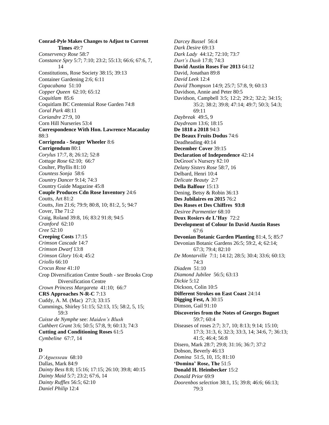**Conrad-Pyle Makes Changes to Adjust to Current Times** 49:7 *Conservency Rose* 58:7 *Constance Spry* 5:7; 7:10; 23:2; 55:13; 66:6; 67:6, 7, 14 Constitutions, Rose Society 38:15; 39:13 Container Gardening 2:6; 6:11 *Copacabana* 51:10 *Copper Queen* 62:10; 65:12 *Coquitlam* 85:6 Coquitlam BC Centennial Rose Garden 74:8 *Coral Park* 48:11 *Coriandre* 27:9, 10 Corn Hill Nurseries 53:4 **Correspondence With Hon. Lawrence Macaulay**  88:3 **Corrigenda - Seager Wheeler** 8:6 **Corrigendum** 80:1 *Corylus* 17:7, 8; 26:12; 52:8 *Cottage Rose* 62:10; 66:7 Coulter, Phyllis 81:10 *Countess Sonja* 58:6 *Country Dancer* 9:14; 74:3 Country Guide Magazine 45:8 **Couple Produces Cdn Rose Inventory** 24:6 Coutts, Art 81:2 Coutts, Jim 21:6; 79:9; 80:8, 10; 81:2, 5; 94:7 Cover, The 71:2 Craig, Roland 39:8, 16; 83:2 91:8; 94:5 *Cranford* 62:10 *Cree* 52:10 **Creeping Costs** 17:15 *Crimson Cascade* 14:7 *Crimson Dwarf* 13:8 *Crimson Glory* 16:4; 45:2 *Criollo* 66:10 *Crocus Rose* 41:*10* Crop Diversification Centre South - *see* Brooks Crop Diversification Centre *Crown Princess Margareta* 41:10; 66:7 **CRS Approaches N-R-C** 7:13 Cuddy, A. M. (Mac) 27:3; 33:15 Cummings, Shirley 51:15; 52:13, 15; 58:2, 5, 15; 59:3 *Cuisse de Nymphe* see: *Maiden's Blush Cuthbert Grant* 3:6; 50:5; 57:8, 9; 60:13; 74:3 **Cutting and Conditioning Roses** 61:5 *Cymbeline* 67:7, 14

#### **D**

*D'Aguesseau* 68:10 Dallas, Mark 84:9 *Dainty Bess* 8:8; 15:16; 17:15; 26:10; 39:8; 40:15 *Dainty Maid* 5:7; 23:2; 67:6, 14 *Dainty Ruffles* 56:5; 62:10 *Daniel Philip* 12:4

*Darcey Bussel* 56:4 *Dark Desire* 69:13 *Dark Lady* 44:12; 72:10; 73:7 *Dart's Dash* 17:8; 74:3 **David Austin Roses For 2013** 64:12 David, Jonathan 89:8 *David Leek* 12:4 *David Thompson* 14:9; 25:7; 57:8, 9; 60:13 Davidson, Annie and Peter 80:5 Davidson, Campbell 3:5; 12:2; 29:2; 32:2; 34:15; 35:2; 38:2; 39:8; 47:14; 49:7; 50:3; 54:3; 69:11 *Daybreak* 49:5, 9 *Daydream* 13:6; 18:15 **De 1818 a 2018** 94:3 **De Beaux Fruits Dodus** 74:6 Deadheading 40:14 **December Cover** 39:15 **Declaration of Independence** 42:14 DeGroot's Nursery 82:10 *Delany Sisters Rose* 58:7, 16 Delbard, Henri 10:4 *Delicate Beauty* 2:7 **Della Balfour** 15:13 Dening, Betsy & Robin 36:13 **Des Jubilaires en 2015** 76:2 **Des Roses et Des Chiffres 93:8** *Desiree Parmentier* 68:10 **Deux Rosiers de L'Hay** 72:2 **Development of Colour In David Austin Roses** 67:6 **Devonian Botanic Garden Planting** 81:4, 5; 85:7 Devonian Botanic Gardens 26:5; 59:2, 4; 62:14; 67:3; 79:4; 82:10 *De Montarville* 7:1; 14:12; 28:5; 30:4; 33:6; 60:13; 74:3 *Diadem* 51:10 *Diamond Jubilee* 56:5; 63:13 *Dickie* 5:12 Dickson, Colin 10:5 **Different Strokes on East Coast** 24:14 **Digging Fest, A** 30:15 Dimson, Gail 91:10 **Discoveries from the Notes of Georges Bugnet** 59:7; 60:4 Diseases of roses 2:7; 3:7, 10; 8:13; 9:14; 15:10; 17:3; 31:3, 6; 32:3; 33:3, 14; 34:6, 7; 36:13; 41:5; 46:4; 56:8 Disero, Mark 28:7; 29:8; 31:16; 36:7; 37:2 Dobson, Beverly 46:13 *Domina* 51:5, 10, 15; 81:10 **'Domina' Rose, The** 51:5 **Donald H. Heimbecker** 15:2 *Donald Prior* 69:9 *Doorenbos selection* 38:1, 15; 39:8; 46:6; 66:13; 79:3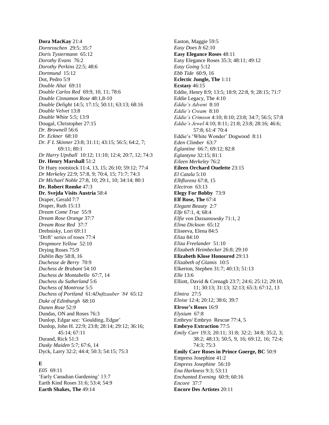**Dora MacKay** 21:4 *Dornroschen* 29:5; 35:7 *Doris Tystermann* 65:12 *Dorothy Evans* 76:2 *Dorothy Perkins* 22:5; 48:6 *Dortmund* 15:12 Dot, Pedro 5:9 *Double Altai* 69:11 *Double Carlos Red* 69:9, 10, 11; 78:6 *Double Cinnamon Rose* 48:1,8-10 *Double Delight* 14:5; 17:15; 50:11; 63:13; 68:16 *Double Velvet* 13:8 *Double White* 5:5; 13:9 Dougal, Christopher 27:15 *Dr. Brownell* 56:6 *Dr. Eckner* 68:10 *Dr. F L Skinner* 23:8; 31:11; 43:15; 56:5; 64:2, 7; 69:11; 80:1 *Dr Harry Upshall* 10:12; 11:10; 12:4; 20:7, 12; 74:3 **Dr. Henry Marshall** 51:2 Dr Huey rootstock 11:4, 13, 15; 26:10; 59:12; 77:4 *Dr Merkeley* 22:9; 57:8, 9; 70:4, 15; 71:7; 74:3 *Dr Michael Noble* 27:8, 10; 29:1, 10; 34:14; 80:1 **Dr. Robert Romke** 47:3 **Dr. Svejda Visits Austria** 58:4 Draper, Gerald 7:7 Draper, Ruth 15:13 *Dream Come True* 55:9 *Dream Rose Orange* 37:7 *Dream Rose Red* 37:7 Drebnisky, Lori 69:11 'Drift' series of roses 77:4 *Dropmore Yellow* 52:10 Drying Roses 75:9 *Dublin Bay* 58:8, 16 *Duchesse de Berry* 70:9 *Duchess de Brabant* 54:10 *Duchess de Montabello* 67:7, 14 *Duchess du Sutherland* 5:6 *Duchess of Montrose* 5:5 *Duchess of Portland* 61:4*Duftzauber '84* 65:12 *Duke of Edinburgh* 68:10 *Dunen Rose* 52:*9* Dundas, ON and Roses 76:3 Dunlop, Edgar see: 'Goulding, Edgar' Dunlop, John H. 22:9; 23:8; 28:14; 29:12; 36:16; 45:14; 67:11 Durand, Rick 51:3 *Dusky Maiden* 5:7; 67:6, 14 Dyck, Larry 32:2; 44:4; 50:3; 54:15; 75:3

## **E**

*E05* 69:11 'Early Canadian Gardening' 13:7 Earth Kind Roses 31:6; 53:4; 54:9 **Earth Shakes, The** 49:14

Easton, Maggie 59:5 *Easy Does It* 62:10 **Easy Elegance Roses** 48:11 Easy Elegance Roses 35:3; 48:11; 49:12 *Easy Going* 5:12 *Ebb Tide* 60:9, 16 **Eclectic Jungle, The** 1:11 **Ecstasy** 46:15 Eddie, Henry 8:9; 13:5; 18:9; 22:8, 9; 28:15; 71:7 Eddie Legacy, The 4:10 *Eddie's Advent* 8:10 *Eddie's Cream* 8:10 *Eddie's Crimson* 4:10; 8:10; 23:8; 34:7; 56:5; 57:8 *Eddie's Jewel* 4:10; 8:11; 21:8; 23:8; 28:16; 46:6; 57:8; 61:4' 70:4 Eddie's 'White Wonder' Dogwood 8:11 *Eden Climber* 63:*7 Eglantine* 66:7; 69:12; 82:8 *Eglantyne* 32:15; 81:1 *Eileen Merkeley* 76:2 **Eileen Orchard Ouelette** 23:15 *El Catala* 5:10 *Elbflorenz* 67:8, 15 *Electron* 63:13 **Elegy For Bobby** 73:9 **Elf Rose, The** 67:4 *Elegant Beauty* 2:7 *Elfe* 67:1, 4; 68:4 *Elfie von Dassanowsky* 71:1, 2 *Elina Dickson* 65:12 Eliseeva, Elena 84:5 *Eliza* 84:10 *Eliza Freelander* 51:10 *Elizabeth Heimbecker* 26:8; 29:10 **Elizabeth Klose Honoured** 29:13 *Elizabeth of Glamis* 10:5 Elkerton, Stephen 31:7; 40:13; 51:13 *Elle* 13:6 Elliott, David & Crenagh 23:7; 24:6; 25:12; 29:10, 11; 30:13; 31:13; 32:13; 65:3; 67:12, 13 *Elmira* 27:5 *Eloise* 12:4; 20:12; 38:6; 39:7 **Elrose's Roses** 16:9 *Elysium* 67:8 Embryo/ Embryo Rescue 77:4, 5 **Embryo Extraction** 77:5 *Emily Carr* 19:3; 20:11; 31:8; 32:2; 34:8; 35:2, 3; 38:2; 48:13; 50:5, 9, 16; 69:12, 16; 72:4; 74:3; 75:3 **Emily Carr Roses in Prince Goerge, BC** 50:9 Empress Josephine 41:2 *Empress Josephine* 56:10 *Ena Harkness* 9:3; 53:11 *Enchanted Evening* 60:9; 60:16 *Encore* 37:7 **Encore Des Artistes** 20:11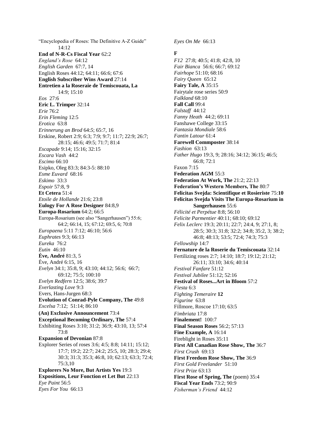"Encyclopedia of Roses: The Definitive A-Z Guide"  $14.12$ **End of N-R-Cs Fiscal Year** 62:2 *England's Rose* 64:12 *English Garden* 67:7, 14 English Roses 44:12; 64:11; 66:6; 67:6 **English Subscriber Wins Award** 27:14 **Entretien a la Roseraie de Temiscouata, La** 14:9; 15:10 *Eos* 27:6 **Eric L. Trimper** 32:14 *Erie* 76:2 *Erin Fleming* 12:5 *Erotica* 63:8 *Erinnerung an Brod* 64:*5*; 65:7, 16 Erskine, Robert 2:9; 6:3; 7:9; 9:7; 11:7; 22:9; 26:7; 28:15; 46:6; 49:5; 71:7; 81:4 *Escapade* 9:14; 15:16; 32:15 *Escara Vash* 44:2 *Escimo* 66:10 Esipko, Oleg 83:3; 84:3-5: 88:10 *Esme Euvard* 68:16 *Eskimo* 33:3 *Espoir* 57:8, 9 **Et Cetera** 51:4 *Etoile de Hollande* 21:6; 23:8 **Eulogy For A Rose Designer** 84:8,9 **Europa-Rosarium** 64:2; 66:5 Europa-Rosarium (see also "Sangerhausen") 55:6; 64:2; 66:14, 15; 67:12; 69:5, 6; 70:8 *Europaena* 5:11 7:12; 46:10; 56:6 *Euphrates* 9:3; 66:13 *Eureka* 76:2 *Eutin* 46:10 **Ève, André** 81:3, 5 Ève, André 6:15, 16 *Evelyn* 34:1; 35:8, 9; 43:10; 44:12; 56:6; 66:7; 69:12; 75:5; 100:10 *Evelyn Redfern* 12:5; 38:6; 39:7 *Everlasting Love* 9:3 Evers, Hans-Jurgen 68:3 **Evolution of Conrad-Pyle Company, The** 49:8 *Excelsa* 7:12; 51:14; 86:10 **(An) Exclusive Announcement** 73:4 **Exceptional Becoming Ordinary, The** 57:4 Exhibiting Roses 3:10; 31:2; 36:9; 43:10, 13; 57:4 73:8 **Expansion of Devonian** 87:8 Explorer Series of roses 3:6; 4:5; 8:8; 14:11; 15:12; 17:7; 19:2; 22:7; 24:2; 25:5, 10; 28:3; 29:4; 30:3; 31:3; 35:3; 46:8, 10; 62:13; 63:3; 72:4; 75:3,10 **Explorers No More, But Artists Yes** 19:3 **Expositions, Leur Fonction et Let But** 22:13 *Eye Paint* 56:5 *Eyes For You* 66:13

*Eyes On Me* 66:13

## **F**

*F12* 27:8; 40:5; 41:8; 42:8, 10 *Fair Bianca* 56:6; 66:7; 69:12 *Fairhope* 51:10; 68:16 *Fairy Queen* 65:12 **Fairy Tale, A** 35:15 Fairytale rose series 50:9 *Falkland* 68:10 **Fall Call** 99:4 *Falstaff* 44:12 *Fanny Heath* 44:2; 69:11 Fanshawe College 33:15 *Fantasia Mondiale* 58:6 *Fantin Latour* 61:4 **Farewell Commposter** 38:14 *Fashion* 63:13 *Father Hugo* 19:3, 9; 28:16; 34:12; 36:15; 46:5; 66:8; 72:1 Faxon 7:15 **Federation AGM** 55:3 **Federation At Work, The** 21:2; 22:13 **Federation's Western Members, The** 80:7 **Felicitas Svejda: Scientifique et Rosieriste** 75:**10 Felicitas Svejda Visits The Europa-Rosarium in Sangerhausen** 55:6 *Félicité et Perpétue* 8:8; 56:10 *Felicite Parmentier* 40:11; 68:10; 69:12 *Felix Leclerc* 19:3; 20:11; 22:7; 24:4, 9; 27:1, 8; 28:5; 30:3; 31:8; 32:2; 34:8; 35:2, 3; 38:2; 46:8; 48:13; 53:5; 72:4; 74:3; 75:3 *Fellowship* 14:7 **Fernature de la Roserie du Temiscouata** 32:14 Fertilizing roses 2:7; 14:10; 18:7; 19:12; 21:12; 26:11; 33:10; 34:6; 40:14 *Festival Fanfare* 51:12 *Festival Jubilee* 51:12; 52:16 **Festival of Roses...Art in Bloom** 57:2 *Fiesta* 6:3 *Fighting Temeraire* **12** *Figurine* 63:8 Fillmore, Roscoe 17:10; 63:5 *Fimbriata* 17:8 **Finalement!** 100:7 **Final Season Roses** 56:2; 57:13 **Fine Example, A** 16:14 Fireblight in Roses 35:11 **First All Canadian Rose Show, The** 36:7 *First Crush* 69:13 **First Freedom Rose Show, The** 36:9 *First Gold Freelander* 51:10 *First Prize* 63:13 **First Rose of Spring, The (poem) 35:4 Fiscal Year Ends** 73:2; 90:9 *Fisherman's Friend* 44:12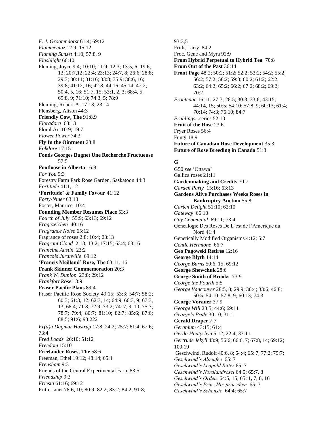*F. J. Grootendorst* 61:4; 69:12 *Flammentaz* 12:9; 15:12 *Flaming Sunset* 4:10; 57:8, 9 *Flashlight* 66:10 Fleming, Joyce 9:4; 10:10; 11:9; 12:3; 13:5, 6; 19:6, 13; 20:7,12; 22:4; 23:13; 24:7, 8; 26:6; 28:8; 29:3; 30:11; 31:16; 33:8; 35:9; 38:6, 16; 39:8; 41:12, 16; 42:8; 44:16; 45:14; 47:2; 50:4, 5, 16; 51:7, 15; 53:1, 2, 3; 68:4, 5; 69:8, 9; 71:10; 74:3, 5; 78:9 Fleming, Robert A. 17:13; 23:14 Flensberg, Alison 44:3 **Friendly Cow, The** 91:8,9 *Floradora* 63:13 Floral Art 10:9; 19:7 *Flower Power* 74:3 **Fly In the Ointment** 23:8 *Folklore* 17:15 **Fonds Georges Bugnet Une Recherche Fructueuse** 57:5 **Footloose in Alberta** 16:8 *For You* 9:3 Forestry Farm Park Rose Garden, Saskatoon 44:3 *Fortitude* 41:1, 12 **'Fortitude' & Family Favour** 41:12 *Forty-Niner* 63:13 Foster, Maurice 10:4 **Founding Member Resumes Place** 53:3 *Fourth of July* 55:9; 63:13; 69:12 *Fragezeichen* 40:16 *Fragrance Noise* 65:12 Fragrance of roses 2:8; 10:4; 23:13 *Fragrant Cloud* 2:13; 13:2; 17:15; 63:4; 68:16 *Francine Austin* 23:2 *Francois Juranville* 69:12 **'Francis Meilland' Rose, The** 63:11, 16 **Frank Skinner Commemoration** 20:3 *Frank W. Dunlop* 23:8; 29:12 *Frankfort Rose* 13:9 **Fraser Pacific Plans** 89:4 Fraser Pacific Rose Society 49:15; 53:3; 54:7; 58:2; 60:3; 61:3, 12; 62:3, 14; 64:9; 66:3, 9; 67:3, 13; 68:4; 71:8; 72:9; 73:2; 74: 7, 9, 10; 75:7; 78:7; 79:4; 80:7; 81:10; 82:7; 85:6; 87:6; 88:5; 91:6; 93:222 *Fr(a)u Dagmar Hastrup* 17:8; 24:2; 25:7; 61:4; 67:6;  $73.4$ *Fred Loads* 26:10; 51:12 *Freedom* 15:10 **Freelander Roses, The** 58:6 Freeman, Ethel 19:12; 48:14; 65:4 *Frensham* 9:3 Friends of the Central Experimental Farm 83:5 *Friendship* 9:3 *Friesia* 61:16; 69:12 Frith, Janet 78:6, 10; 80:9; 82:2; 83:2; 84:2; 91:8;

93:3,5 Frith, Larry 84:2 Froc, Gene and Myra 92:9 **From Hybrid Perpetual to Hybrid Tea** 70:8 **From Out of the Past** 36:14 **Front Page** 48:2; 50:2; 51:2; 52:2; 53:2; 54:2; 55:2; 56:2; 57:2; 58:2; 59:3; 60:2; 61:2; 62:2; 63:2; 64:2; 65:2; 66:2; 67:2; 68:2; 69:2;  $70:2$ *Frontenac* 16:11; 27:7; 28:5; 30:3; 33:6; 43:15; 44:14, 15; 50:5; 54:10; 57:8, 9; 60:13; 61:4; 70:14; 74:3; 76:10; 84:7 *Fruhlings...*series 52:10 **Fruit of the Rose** 23:6 Fryer Roses 56:4 Fungi 18:9 **Future of Canadian Rose Development** 35:3 **Future of Rose Breeding in Canada** 51:3

## **G**

G50 *see* 'Ottawa' Gallica roses 21:11 **Gardenmaking and Credits** 70:7 *Garden Party* 15:16; 63:13 **Gardens Alive Purchases Weeks Roses in Bankruptcy Auction** 55:8 *Garten Delight* 51:10; 62:10 *Gateway* 66:10 *Gay Centennial* 69:11; 73:4 Genealogie Des Roses De L'est de l'Amerique du Nord 41:4 Genetically Modified Organisms 4:12; 5:7 *Gentle Hermione* 66:7 **Geo Pagowski Retires** 12:16 **George Blyth** 14:14 *George Burns* 50:6, 15; 69:12 **George Shewchuk** 28:6 **George Smith of Brooks** 73:9 *George the Fourth* 5:5 *George Vancouver* 28:5, 8; 29:9; 30:4; 33:6; 46:8; 50:5; 54:10; 57:8, 9; 60:13; 74:3 **George Vorauer** 37:9 *George Will* 23:5; 44:6; 69:11 *George's Pride* 30:10; 31:1 **Gerald Draper** 7:7 *Geranium* 43:15; 61:4 *Gerda Hnatyshyn* 5:12; 22:4; 33:11 *Gertrude Jekyll* 43:9; 56:6; 66:6, 7; 67:8, 14; 69:12; 100:10 Geschwind, Rudolf 40:6, 8; 64:4; 65: 7; 77:2; 79:7; *Geschwind's Alpenfee* 65: 7 *Geschwind's Leopold Ritter* 65: 7 *Geschwind's Nordlandrosel* 64:5; 65:7, 8 *Geschwind's Orden* 64:5, 15; 65: 1, 7, 8, 16 *Geschwind's Prinz Hirzprinzchen* 65: 7 *Geschwind's Schonste* 64:4; 65:7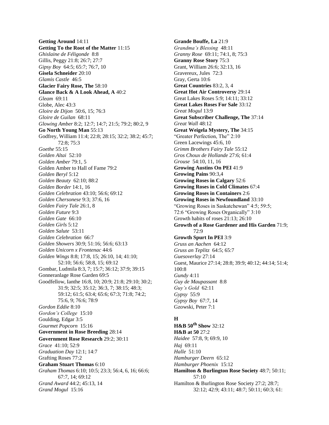**Getting Around** 14:11 **Getting To the Root of the Matter** 11:15 *Ghislaine de Féligonde* 8:8 Gillis, Peggy 21:8; 26:7; 27:7 *Gipsy Boy* 64:5; 65:7; 76:7, 10 **Gisela Schneider** 20:10 *Glamis Castle* 46:5 **Glacier Fairy Rose, The** 58:10 **Glance Back & A Look Ahead, A** 40:2 *Gleam* 69:11 Globe, Alec 43:3 *Gloire de Dijon* 50:6, 15; 76:3 *Gloire de Guilan* 68:11 *Glowing Amber* 8:2; 12:7; 14:7; 21:5; 79:2; 80:2, 9 **Go North Young Man** 55:13 Godfrey, William 11:4; 22:8; 28:15; 32:2; 38:2; 45:7; 72:8; 75:3 *Goethe* 55:15 *Golden Altai* 52:10 *Golden Amber* 79:1, 5 Golden Amber to Hall of Fame 79:2 *Golden Beryl* 5:12 *Golden Beauty* 62:10; 88:2 *Golden Border* 14:1, 16 *Golden Celebration* 43:10; 56:6; 69:12 *Golden Chersonese* 9:3; 37:6, 16 *Golden Fairy Tale* 26:1, 8 *Golden Future* 9:3 *Golden Gate* 66:10 *Golden Girls* 5:12 *Golden Salute* 53:11 *Golden Celebration* 66:7 *Golden Showers* 30:9; 51:16; 56:6; 63:13 *Golden Unicorn x Frontenac* 44:6 *Golden Wings* 8:8; 17:8, 15; 26:10, 14; 41:10; 52:10; 56:6; 58:8, 15; 69:12 Gombar, Ludmila 8:3, 7; 15:7; 36:12; 37:9; 39:15 Gonneranlage Rose Garden 69:5 Goodfellow, Ianthe 16:8, 10; 20:9; 21:8; 29:10; 30:2; 31:9; 32:5; 35:12; 36:3, 7; 38:15; 48:3; 59:12; 61:5; 63:4; 65:6; 67:3; 71:8; 74:2; 75:6, 9; 76:6; 78:9 *Gordon Eddie* 8:10 *Gordon's College* 15:10 Goulding, Edgar 3:5 *Gourmet Popcorn* 15:16 **Government in Rose Breeding** 28:14 **Government Rose Research** 29:2; 30:11 *Grace* 41:10; 52:9 *Graduation Day* 12:1; 14:7 Grafting Roses 77:2 **Graham Stuart Thomas** 6:10 *Graham Thomas* 6:10; 10:5; 23:3; 56:4, 6, 16; 66:6; 67:7, 14; 69:12 *Grand Award* 44:2; 45:13, 14 *Grand Mogul* 15:16

**Grande Bouffe, La** 21:9 *Grandma's Blessing* 48:11 *Granny Rose* 69:11; 74:1, 8; 75:3 **Granny Rose Story** 75:3 Grant, William 26:6; 32:13, 16 Gravereux, Jules 72:3 Gray, Gerta 10:6 **Great Countries** 83:2, 3, 4 **Great Hot Air Controversy** 29:14 Great Lakes Roses 5:9; 14:11; 33:12 **Great Lakes Roses For Sale** 33:12 *Great Mogul* 13:9 **Great Subscriber Challenge, The** 37:14 *Great Wall* 48:12 **Great Weigela Mystery, The** 34:15 "Greater Perfection, The" 2:10 Green Lacewings 45:6, 10 *Grimm Brothers Fairy Tale* 55:12 *Gros Choux de Hollande* 27:6; 61:4 *Grouse* 54:10, 11, 16 **Growing Austins On PEI** 41:9 **Growing Pains** 90:3,4 **Growing Roses in Calgary** 52:6 **Growing Roses in Cold Climates** 67:4 **Growing Roses in Containers** 2:6 **Growing Roses in Newfoundland** 33:10 "Growing Roses in Saskatchewan" 4:5; 59:5; 72:6 "Growing Roses Organically" 3:10 Growth habits of roses 21:13; 26:10 **Growth of a Rose Gardener and His Garden** 71:9; 72:9 **Growth Spurt In PEI** 3:9 *Gruss an Aachen* 64:12 *Gruss an Teplitz* 64:5; 65:7 *Guesoverlay* 27:14 Guest, Maurice 27:14; 28:8; 39:9; 40:12; 44:14; 51:4; 100:8 *Gundy* 4:11 *Guy de Maupassant* 8:8 *Guy's Gold* 62:11 *Gypsy* 55:9 *Gypsy Boy* 67:7, 14 Gzowski, Peter 7:1

### **H**

**H&B 50th Show** 32:12 **H&B at 50** 27:2 *Haidee* 57:8, 9; 69:9, 10 *Haj* 69:11 *Halle* 51:10 *Hamburger Deern* 65:12 *Hamburger Phoenix* 15:12 **Hamilton & Burlington Rose Society** 48:7; 50:11; 57:10 Hamilton & Burlington Rose Society 27:2; 28:7; 32:12; 42:9; 43:11; 48:7; 50:11; 60:3; 61: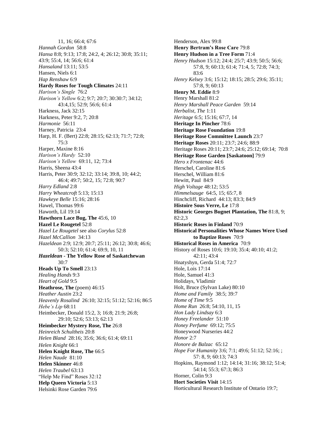11, 16; 66:4; 67:6 *Hannah Gordon* 58:8 *Hansa* 8:8; 9:13; 17:8; 24:2, 4; 26:12; 30:8; 35:11; 43:9; 55:4, 14; 56:6; 61:4 *Hansaland* 13:11; 53:5 Hansen, Niels 6:1 *Hap Renshaw* 6:9 **Hardy Roses for Tough Climates** 24:11 *Harison's Single* 76:2 *Harison's Yellow* 6:2; 9:7; 20:7; 30:30:7; 34:12; 43:4,15; 52:9; 56:6; 61:4 Harkness, Jack 32:15 Harkness, Peter 9:2, 7; 20:8 *Harmonie* 56:11 Harney, Patricia 23:4 Harp, H. F. (Bert) 22:8; 28:15; 62:13; 71:7; 72:8; 75:3 Harper, Maxine 8:16 *Harison's Hardy* 52:10 *Harison's Yellow* 69:11, 12; 73:4 Harris, Sheena 43:4 Harris, Peter 30:9; 32:12; 33:14; 39:8, 10; 44:2; 46:4; 49:7; 50:2, 15; 72:8; 90:7 *Harry Edland* 2:8 *Harry Wheatcroft* 5:13; 15:13 *Hawkeye Belle* 15:16; 28:16 Hawel, Thomas 99:6 Haworth, Lil 19:14 **Hawthorn Lace Bug, The** 45:6, 10 **Hazel Le Rougetel** 52:8 *Hazel Le Rougetel* see also *Corylus* 52:8 *Hazel McCallion* 34:13 *Hazeldean* 2:9; 12:9; 20:7; 25:11; 26:12; 30:8; 46:6; 50:3; 52:10; 61:4; 69:9, 10, 11 *Hazeldean* **- The Yellow Rose of Saskatchewan**  $30 - 7$ **Heads Up To Smell** 23:13 *Healing Hands* 9:3 *Heart of Gold* 9:5 **Heathrose, The** (poem) 46:15 *Heather Austin* 23:2 *Heavenly Rosalind* 26:10; 32:15; 51:12; 52:16; 86:5 *Hebe's Lip* 68:11 Heimbecker, Donald 15:2, 3; 16:8; 21:9; 26:8; 29:10; 52:6; 53:13; 62:13 **Heimbecker Mystery Rose, The** 26:8 *Heinreich Schultheis* 20:8 *Helen Bland* 28:16; 35:6; 36:6; 61:4; 69:11 *Helen Knight* 66:1 **Helen Knight Rose, The** 66:5 *Helen Naude* 81:10 **Helen Skinner** 46:8 *Helen Traubel* 63:13 "Help Me Find" Roses 32:12 **Help Queen Victoria** 5:13 Helsinki Rose Garden 79:6

Henderson, Alex 99:8 **Henry Bertram's Rose Care** 79:8 **Henry Hudson in a Tree Form** 71:4 *Henry Hudson* 15:12; 24:4; 25:7; 43:9; 50:5; 56:6; 57:8, 9; 60:13; 61:4; 71:4, 5; 72:8; 74:3; 83:6 *Henry Kelsey* 3:6; 15:12; 18:15; 28:5; 29:6; 35:11; 57:8, 9; 60:13 **Henry M. Eddie** 8:9 Henry Marshall 81:2 *Henry Marshall Peace Garden* 59:14 *Herbalist, The* 1:11 *Heritage* 6:5; 15:16; 67:7, 14 **Heritage In Pincher** 78:6 **Heritage Rose Foundation** 19:8 **Heritage Rose Committee Launch** 23:7 **Heritage Roses** 20:11; 23:7; 24:6; 88:9 Heritage Roses 20:11; 23:7; 24:6; 25:12; 69:14; 70:8 **Heritage Rose Garden [Saskatoon]** 79:9 *Hero x Frontenac* 44:6 Herschel, Caroline 81:6 Herschel, William 81:6 Hewitt, Paul 84:9 *High Voltage* 48:12; 53:5 *Himmelsauge* 64:5, 15; 65:7, 8 Hinchcliff, Richard 44:13; 83:3; 84:9 **Histoire Sous Verre, Le** 17:8 **Historic Georges Bugnet Plantation, The** 81:8, 9; 82:2,3 **Historic Roses in Finland** 70:9 **Historical Personalities Whose Names Were Used to Baptize Roses** 70:9 **Historical Roses in America** 70:9 History of Roses 10:6; 19:10; 35:4; 40:10; 41:2; 42:11; 43:4 Hnatyshyn, Gerda 51:4; 72:7 Hole, Lois 17:14 Hole, Samuel 41:3 Holidays, Vladimir Holt, Bruce (Sylvan Lake) 80:10 *Home and Family* 38:5; 39:7 *Home of Time* 9:5 *Home Run* 26:8; 54:10, 11, 15 *Hon Lady Lindsay* 6:3 *Honey Freelander* 51:10 *Honey Perfume* 69:12; 75:5 Honeywood Nurseries 44:2 *Honor* 2:7 *Honore de Balzac* 65:12 *Hope For Humanity* 3:6; 7:1; 49:6; 51:12; 52:16; ; 57: 8, 9; 60:13; 74:3 Hopkins, Raymond 1:12; 14:14; 31:16; 38:12; 51:4; 54:14; 55:3; 67:3; 86:3 Horner, Colin 9:3 **Hort Societies Visit** 14:15 Horticultural Research Institute of Ontario 19:7;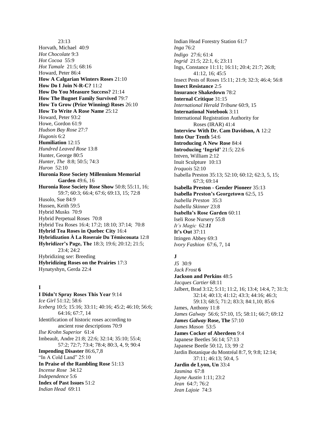23:13 Horvath, Michael 40:9 *Hot Chocolate* 9:3 *Hot Cocoa* 55:9 *Hot Tamale* 21:5; 68:16 Howard, Peter 86:4 **How A Calgarian Winters Roses** 21:10 **How Do I Join N-R-C?** 11:2 **How Do You Measure Success?** 21:14 **How The Bugnet Family Survived** 79:7 **How To Grow (Prize Winning) Roses** 26:10 **How To Write A Rose Name** 25:12 Howard, Peter 93:2 Howe, Gordon 61:9 *Hudson Bay Rose* 27:7 *Hugonis* 6:2 **Humiliation** 12:15 *Hundred Leaved Rose* 13:8 Hunter, George 80:5 *Hunter, The* 8:8; 50:5; 74:3 *Huron* 52:10 **Huronia Rose Society Millennium Memorial Garden** 49:6, 16 **Huronia Rose Society Rose Show** 50:8; 55:11, 16; 59:7; 60:3; 66:4; 67:6; 69:13, 15; 72:8 Husolo, Sue 84:9 Hussen, Keith 59:5 Hybrid Musks 70:9 Hybrid Perpetual Roses 70:8 Hybrid Tea Roses 16:4; 17:2; 18:10; 37:14; 70:8 **Hybrid Tea Roses in Quebec City** 16:4 **Hybridization À La Roseraie Du Témiscouata** 12:8 **Hybridizer's Page, The** 18:3; 19:6; 20:12; 21:5; 23:4; 24:2 Hybridizing *see*: Breeding **Hybridizing Roses on the Prairies** 17:3 Hynatyshyn, Gerda 22:4

## **I**

**I Didn't Spray Roses This Year** 9:14 *Ice Girl* 51:12; 58:6 *Iceberg* 10:5; 15:16; 33:11; 40:16; 45:2; 46:10; 56:6; 64:16; 67:7, 14 Identification of historic roses according to ancient rose descriptions 70:9 *Ilse Krohn Superior* 61:4 Imbeault, Andre 21:8; 22:6; 32:14; 35:10; 55:4; 57:2; 72:7; 73:4; 78:4; 80:3, 4, 9; 90:4 **Impending Disaster** 86:6,7,8 "In A Cold Land" 25:10 **In Praise of the Rambling Rose** 51:13 *Incense Rose* 34:12 *Independence* 5:6 **Index of Past Issues** 51:2 *Indian Head* 69:11

Indian Head Forestry Station 61:7 *Inga* 76:2 *Indigo* 27:6; 61:4 *Ingrid* 21:5; 22:1, 6; 23:11 Ings, Constance 11:11; 16:11; 20:4; 21:7; 26:8; 41:12, 16; 45:5 Insect Pests of Roses 15:11; 21:9; 32:3; 46:4; 56:8 **Insect Resistance** 2:5 **Insurance Shakedown** 78:2 **Internal Critique** 31:15 *International Herald Tribune* 60:9, 15 **International Notebook** 3:11 International Registration Authority for Roses (IRAR) 41:4 **Interview With Dr. Cam Davidson, A** 12:2 **Into Our Tenth** 54:6 **Introducing A New Rose** 84:4 **Introducing 'Ingrid'** 21:5; 22:6 Intven, William 2:12 Inuit Sculpture 10:13 *Iroquois* 52:10 Isabella Preston 35:13; 52:10; 60:12; 62:3, 5, 15; 67:3; 69:14 **Isabella Preston - Gender Pioneer** 35:13 **Isabella Preston's Georgetown** 62:5, 15 *Isabella Preston* 35:3 *Isabella Skinner* 23:8 **Isabella's Rose Garden** 60:11 Iseli Rose Nursery 55:8 *It's Magic* 62:*11* **It's Out** 37:11 Ittingen Abbey 69:3 *Ivory Fashion* 67:6, 7, 14

## **J**

*J5* 30:9 *Jack Frost* **6 Jackson and Perkins** 48:5 *Jacques Cartier* 68:11 Jalbert, Brad 3:12; 5:11; 11:2, 16; 13:4; 14:4, 7; 31:3; 32:14; 40:13; 41:12; 43:3; 44:16; 46:3; 59:13; 68:5; 71:2; 83:3; 84:1,10; 85:6 James, Anthony 11:8 *James Galway* 56:6; 57:10, 15; 58:11; 66:7; 69:12 *James Galway* **Rose, The** 57:10 *James Mason* 53:5 **James Cocker of Aberdeen** 9:4 Japanese Beetles 56:14; 57:13 Japanese Beetle 50:12, 13; 99 :2 Jardin Botanique du Montréal 8:7, 9; 9:8; 12:14; 37:11; 46:13; 50:4, 5 **Jardin de Lyon, Un** 33:4 *Jasmina* 67:8 *Jayne Austin* 1:11; 23:2 *Jean* 64:7; 76:2 *Jean Lajoie* 74:3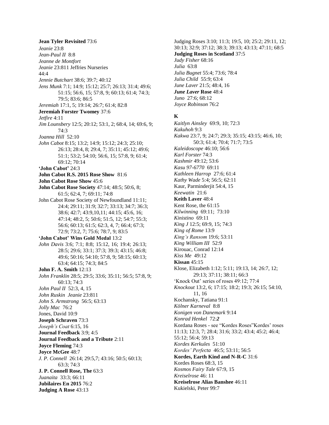**Jean Tyler Revisited** 73:6 *Jeanie* 23:8 *Jean-Paul II* 8:8 *Jeanne de Montfort Jeanie* 23:811 Jeffries Nurseries  $44.4$ *Jennie Butchart* 38:6; 39:7; 40:12 *Jens Munk* 7:1; 14:9; 15:12; 25:7; 26:13; 31:4; 49:6; 51:15; 56:6, 15; 57:8, 9; 60:13; 61:4; 74:3; 79:5; 83:6; 86:5 *Jeremiah* 17:1, 5; 19:14; 26:7; 61:4; 82:8 **Jeremiah Forster Twomey** 37:6 *Jetfire* 4:11 *Jim Lounsbery* 12:5; 20:12; 53:1, 2; 68:4, 14; 69:6, 9; 74:3 *Joanna Hill* 52:10 *John Cabot* 8:15; 13:2; 14:9; 15:12; 24:3; 25:10; 26:13; 28:4, 8; 29:4, 7; 35:11; 45:12; 49:6; 51:1; 53:2; 54:10; 56:6, 15; 57:8, 9; 61:4; 69:12; 70:14 **'John Cabot'** 24:3 **John Cabot R.S. 2015 Rose Show** 81:6 **John Cabot Rose Show** 45:6 **John Cabot Rose Society** 47:14; 48:5; 50:6, 8; 61:5; 62:4, 7; 69:11; 74:8 John Cabot Rose Society of Newfoundland 11:11; 24:4; 29:11; 31:9; 32:7; 33:13; 34:7; 36:3; 38:6; 42:7; 43:9,10,11; 44:15; 45:6, 16; 47:14; 48:2, 5; 50:6; 51:5, 12; 54:7; 55:3; 56:6; 60:13; 61:5; 62:3, 4, 7; 66:4; 67:3; 72:9; 73:2, 7; 75:6; 78:7, 9; 83:5 **'John Cabot' Wins Gold Medal** 13:2 *John Davis* 3:6; 7:1; 8:8; 15:12, 16; 19:4; 26:13; 28:5; 29:6; 33:1; 37:3; 39:3; 43:15; 46:8; 49:6; 50:16; 54:10; 57:8, 9; 58:15; 60:13; 63:4; 64:15; 74:3; 84:5 **John F. A. Smith** 12:13 *John Franklin* 28:5; 29:5; 33:6; 35:11; 56:5; 57:8, 9; 60:13; 74:3 *John Paul II* 52:3, 4, 15 *John Ruskin Jeanie* 23:811 *John S. Armstrong* 56:5; 63:13 *Jolly Mac* 76:2 Jones, David 10:9 **Joseph Schraven** 73:3 *Joseph's Coat* 6:15, 16 **Journal Feedback** 3:9; 4:5 **Journal Feedback and a Tribute** 2:11 **Joyce Fleming** 74:3 **Joyce McGee** 48:7 *J. P. Connell* 26:14; 29:5,7; 43:16; 50:5; 60:13; 63:3; 74:3 **J. P. Connell Rose, The** 63:3 *Juanaita* 33:3; 66:11 **Jubilaires En 2015** 76:2 **Judging A Rose** 43:13

Judging Roses 3:10; 11:3; 19:5, 10; 25:2; 29:11, 12; 30:13; 32:9; 37:12; 38:3; 39:13; 43:13; 47:11; 68:5 **Judging Roses in Scotland** 37:5 *Judy Fisher* 68:16 *Julia* 63:8 *Julia Bugnet* 55:4; 73:6; 78:4 *Julia Child* 55:9; 63:4 *June Laver* 21:5; 48:4, 16 *June Laver* **Rose** 48:4 *Juno* 27:6; 68:12 *Joyce Robinson* 76:2 **K** *Kaitlyn Ainsley* 69:9, 10; 72:3

*Kakuhoh* 9:3 *Kakwa* 23:7, 9; 24:7; 29:3; 35:15; 43:15; 46:6, 10; 50:3; 61:4; 70:4; 71:7; 73:5 *Kaleidoscope* 46:10; 56:6 *Karl Forster* 74:3 *Kashmir* 49:12; 53:6 *Kasu 97-6770* 69:11 *Kathleen Harrop* 27:6; 61:4 *Kathy Wade* 5:4; 56:5; 62:11 Kaur, Parminderjit 54:4, 15 *Keewatin* 21:6 **Keith Laver** 48:4 Kent Rose, the 61:15 *Kilwinning* 69:11; 73:10 *Kinistino* 69:11 *King J* 12:5; 69:9, 15; 74:3 *King of Rome* 13:9 *King's Ransom* 19:6; 53:11 *King William III* 52:9 Kirouac, Conrad 12:14 *Kiss Me* 49:12 **Kissan** 45:15 Klose, Elizabeth 1:12; 5:11; 19:13, 14; 26:7, 12; 29:13; 37:11; 38:11; 66:3 'Knock Out' series of roses 49:12; 77:4 *Knockout* 13:2, 6; 17:15; 18:2; 19:3; 26:15; 54:10, 11, 16 Kochansky, Tatiana 91:1 *Kölner Karneval* 8:8 *Konigen von Danemark* 9:14 *Konrad Henkel* 72:*2* Kordana Roses - see "Kordes Roses"Kordes' roses 11:13; 12:3, 7; 28:4; 31:6; 33:2; 43:4; 45:2; 46:4; 55:12; 56:4; 59:13 *Kordes Kerkules* 51:10 *Kordes' Perfecta* 46:5; 53:11; 56:5 **Kordes, Earth Kind and N-R-C** 31:6 Kordes Roses 68:3, 15 *Kosmos Fairy Tale* 67:9, 15 *Kreiselrose* 46: 11 **Kreiselrose Alias Banshee** 46:11 Kukielski, Peter 99:7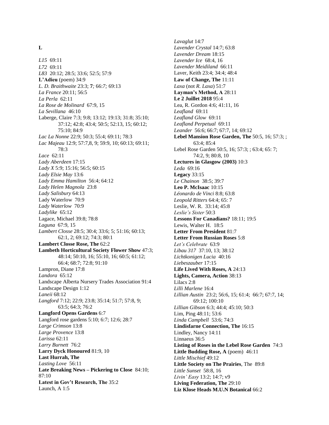#### **L**

*L15* 69:11 *L72* 69:11 *L83* 20:12; 28:5; 33:6; 52:5; 57:9 **L'Adieu** (poem) 34:9 *L. D. Braithwaite* 23:3; **7***;* 66:*7;* 69:13 *La France* 20:11; 56:5 *La Perla* 62:11 *La Rose de Molinard* 67:9, 15 *La Sevillana* 46:10 Laberge, Claire 7:3; 9:8; 13:12; 19:13; 31:8; 35:10; 37:12; 42:8; 43:4; 50:5; 52:13, 15; 60:12; 75:10; 84:9 *Lac La Nonne* 22:9; 50:3; 55:4; 69:11; 78:3 *Lac Majeau* 12:9; 57:7,8, 9; 59:9, 10; 60:13; 69:11; 78:3 *Lace* 62:11 *Lady Aberdeen* 17:15 *Lady X* 5:9; 15:16; 56:5; 60:15 *Lady Elsie May* 13:6 *Lady Emma Hamilton* 56:4; 64:12 *Lady Helen Magnola* 23:8 *Lady Salisbury* 64:13 Lady Waterlow 70:9 *Lady Waterlow* 70:9 *Ladylike* 65:12 Lagace, Michael 39:8; 78:8 *Laguna* 67:9, 15 *Lambert Closse* 28:5; 30:4; 33:6; 5; 51:16; 60:13; 62:1, 2; 69:12; 74:3; 80:1 **Lambert Closse Rose, The** 62:2 **Lambeth Horticultural Society Flower Show** 47:3; 48:14; 50:10, 16; 55:10, 16; 60:5; 61:12; 66:4; 68:7; 72:8; 91:10 Lampron, Diane 17:8 *Landora* 65:12 Landscape Alberta Nursery Trades Association 91:4 Landscape Design 1:12 *Laneii* 68:12 *Langford* 7:12; 22:9; 23:8; 35:14; 51:7; 57:8, 9; 63:5; 64:3; 76:2 **Langford Opens Gardens** 6:7 Langford rose gardens 5:10; 6:7; 12:6; 28:7 *Large Crimson* 13:8 *Large Provence* 13:8 *Larissa* 62:11 *Larry Burnett* 76:2 **Larry Dyck Honoured** 81:9, 10 **Last Hurrah, The** *Lasting Love* 56:11 **Late Breaking News – Pickering to Close** 84:10; 87:10 **Latest in Gov't Research, The** 35:2 Launch, A 1:5

*Lavaglut* 14:7 *Lavender Crystal* 14:7; 63:8 *Lavender Dream* 18:15 *Lavender Ice* 68:4, 16 *Lavender Meidiland* 66:11 Laver, Keith 23:4; 34:4; 48:4 **Law of Change, The** 11:11 *Laxa* (not *R. Laxa*) 51:7 **Layman's Method, A** 28:11 **Le 2 Juillet 2018** 95:4 Lea, R. Gordon 4:6; 41:11, 16 *Leafland* 69:11 *Leafland Glow* 69:11 *Leafland Perpetual* 69:11 *Leander* 56:6; 66:7; 67:7, 14; 69:12 **Lebel Mansion Rose Garden, The** 50:5, 16; 57:3; ; 63:4; 85:4 Lebel Rose Garden 50:5, 16; 57:3; ; 63:4; 65: 7; 74:2, 9; 80:8, 10 **Lectures in Glasgow (2003)** 10:3 *Leda* 69:16 **Legacy** 33:15 *Le Chainon* 38:5; 39:7 **Leo P. McIsaac** 10:15 *Léonardo de Vinci* 8:8; 63:8 *Leopold Ritters* 64:4; 65: 7 Leslie, W. R. 33:14; 45:8 *Leslie's Sister* 50:3 **Lessons For Canadians?** 18:11; 19:5 Lewis, Walter H. 18:5 **Letter From President** 81:7 **Letter From Russian Roses** 5:8 *Let's Celebrate* 63:9 *Libau 317* 37:10, 13; 38:12 *Lichtkonigen Lucia* 40:16 *Liebeszauber* 17:15 **Life Lived With Roses, A** 24:13 **Lights, Camera, Action** 38:13 Lilacs 2:8 *Lilli Marlene* 16:4 *Lillian Austin* 23:2; 56:6, 15; 61:4; 66:7; 67:7, 14; 69:12; 100:10 *Lillian Gibson* 6:3; 44:4; 45:10; 50:3 Lim, Ping 48:11; 53:6 *Linda Campbell* 53:6; 74:3 **Lindisfarne Connection, The** 16:15 Lindley, Nancy 14:11 Linnaeus 36:5 **Listing of Roses in the Lebel Rose Garden** 74:3 Little Budding Rose, A (poem) 46:11 *Little Mischief* 49:12 **Little Society on The Prairies**, The 89:8 *Little Sunset* 58:8, 16 *Livin' Easy* 13:2; 14:7; v9 **Living Federation, The** 29:10 **Liz Klose Heads M.U.N Botanical** 66:2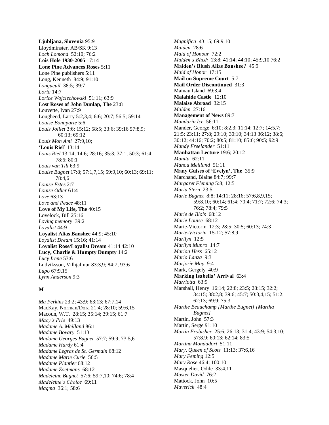**Ljubljana, Slovenia** 95:9 Lloydminster, AB/SK 9:13 *Loch Lomond* 52:10; 76:2 **Lois Hole 1930-2005** 17:14 **Lone Pine Advances Roses** 5:11 Lone Pine publishers 5:11 Long, Kenneth 84:9; 91:10 *Longueuil* 38:5; 39:7 *Loria* 14:7 *Lorice Wojciechowski* 51:11; 63:9 **Lost Roses of John Dunlap, The** 23:8 Louvette, Ivan 27:9 Lougheed, Larry 5:2,3,4; 6:6; 20:7; 56:5; 59:14 *Louise Bonaparte* 5:6 *Louis Jolliet* 3:6; 15:12; 58:5; 33:6; 39:16 57:8,9; 60:13; 69:12 *Louis Mon Ami* 27:9,10; **'Louis Riel'** 13:14 *Louis Riel* 13:14; 14:6; 28:16; 35:3; 37:1; 50:3; 61:4; 78:6; 80:1 *Louis van Till* 63:9 *Louise Bugnet* 17:8; 57:1,7,15; 59:9,10; 60:13; 69:11; 78:4,6 *Louise Estes* 2:7 *Louise Odier* 61:4 *Love* 63:13 *Love and Peace* 48:11 **Love of My Life, The** 40:15 Lovelock, Bill 25:16 *Loving memory* 39:2 *Loyalist* 44:9 **Loyalist Alias Banshee** 44:9; 45:10 *Loyalist Dream* 15:16; 41:14 **Loyalist Rose/Loyalist Dream** 41:14 42:10 **Lucy, Charlie & Humpty Dumpty** 14:2 *Lucy Irene* 53:6 Ludviksson, Vilhjalmur 83:3,9; 84:7; 93:6 *Lupo* 67:9,15 *Lynn Anderson* 9:3

## **M**

*Ma Perkins* 23:2; 43:9; 63:13; 67:7,14 MacKay, Norman/Dora 21:4; 28:10; 59:6,15 Macoun, W.T. 28:15; 35:14; 39:15; 61:7 *Macy's Prie* 49:13 *Madame A. Meilland* 86:1 *Madame Bovary* 51:13 *Madame Georges Bugnet* 57:7; 59:9; 73:5,6 *Madame Hardy* 61:4 *Madame Legras de St. Germain* 68:12 *Madame Marie Curie* 56:5 *Madame Plantier* 68:12 *Madame Zoetmans* 68:12 *Madeleine Bugnet* 57:6; 59:7,10; 74:6; 78:4 *Madeleine's Choice* 69:11 *Magma* 36:1; 58:6

*Magnifica* 43:15; 69:9,10 *Maiden* 28:6 *Maid of Honour* 72:2 *Maiden's Blush* 13:8; 41:14; 44:10; 45:9,10 76:2 **Maiden's Blush Alias Banshee?** 45:9 *Maid of Honor* 17:15 **Mail on Supreme Court** 5:7 **Mail Order Discontinued** 31:3 Mainau Island 69:3,4 **Malahide Castle** 12:10 **Malaise Abroad** 32:15 *Malden* 27:16 **Management of News** 89:7 *Mandarin Ice* 56:11 Mander, George 6:10; 8:2,3; 11:14; 12:7; 14:5,7; 21:5; 23:11; 27:8; 29:10; 30:10; 34:13 36:12; 38:6; 30:12; 44:16; 70:2; 80:5; 81:10; 85:6; 90:5; 92:9 *Mandy Freelander* 51:11 **Manhattan Lecture** 19:6; 20:12 *Manita* 62:11 *Manou Meilland* 51:11 **Many Guises of 'Evelyn', The** 35:9 Marchand, Blaine 84:7; 99:7 *Margaret Fleming* 5:8; 12:5 *Maria Stern* 23:5 *Marie Bugnet* 8:8; 14:11; 28:16; 57:6,8,9,15; 59:8,10; 60:14; 61:4; 70:4; 71:7; 72:6; 74:3; 76:2; 78:4; 79:5 *Marie de Blois* 68:12 *Marie Louise* 68:12 Marie-Victorin12:3; 28:5; 30:5; 60:13; 74:3 *Marie-Victorin* 15-12; 57:8,9 *Marilyn* 12:5 *Marilyn Munro* 14:7 *Marion Hess* 65:12 *Mario Lanza* 9:3 *Marjorie May* 9:4 Mark, Gergely 40:9 **Marking Isabella' Arrival** 63:4 *Marriotta* 63:9 Marshall, Henry 16:14; 22:8; 23:5; 28:15; 32:2; 34:15; 38:2,8; 39:6; 45:7; 50:3,4,15; 51:2; 62:13; 69:9; 75:3 *Marthe Beauchamp [Marthe Bugnet] [Martha Bugnet]* Martin, John 57:3 Martin, Serge 91:10 *Martin Frobisher* 25:6; 26:13; 31:4; 43:9; 54:3,10; 57:8,9; 60:13; 62:14; 83:5 *Martina Mondadori* 51:11 *Mary, Queen of Scots* 11:13; 37:6,16 *Mary Feming* 12:5 *Mary Rose* 46:4; 100:10 Masquelier, Odile 33:4,11 *Master David* 76:2 Mattock, John10:5 *Maverick* 48:4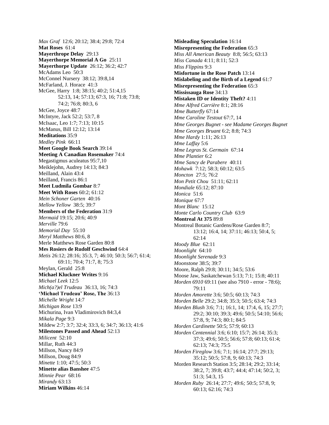*Max Graf* 12:6; 20:12; 38:4; 29:8; 72:4 **Mat Roses** 61:4 **Mayerthrope Delay** 29:13 **Mayerthorpe Memorial A Go** 25:11 **Mayerthorpe Update** 26:12; 36:2; 42:7 McAdams Leo 50:3 McConnel Nursery 38:12; 39:8,14 McFarland, J. Horace 41:3 McGee, Harry 1:8; 38:15; 40:2; 51:4,15 52:13, 14; 57:13; 67:3, 16; 71:8; 73:8; 74:2; 76:8; 80:3, 6 McGee, Joyce 48:7 McIntyre, Jack 52:2; 53:7, 8 McIsaac, Leo 1:7; 7:13; 10:15 McManus, Bill 12:12; 13:14 **Meditations** 35:9 *Medley Pink* 66:11 **Meet Google Book Search** 39:14 **Meeting A Canadian Rosemaker** 74:4 Megastigmus aculeatus 95:7,10 Meiklejohn, Audrey 14:13; 84:3 Meilland, Alain 43:4 Meilland, Francis 86:1 **Meet Ludmila Gombar** 8:7 **Meet With Roses** 60:2; 61:12 *Mein Schoner Garten* 40:16 *Mellow Yellow* 38:5; 39:7 **Members of the Federation** 31:9 *Mermaid* 19:15; 20:6; 40:9 *Merville* 79:6 *Memorial Day* 55:10 *Meryl Matthews* 80:6, 8 Merle Matthews Rose Garden 80:8 **Mes Rosiers de Rudolf Geschwind** 64:4 *Metis* 26:12; 28:16; 35:3, 7; 46:10; 50:3; 56:7; 61:4; 69:11; 70:4; 71:7, 8; 75:3 Meylan, Gerald 25:8 **Michael Kluckner Writes** 9:16 *Michael Leek* 12:5 *Mich(a?)el Trudeau* 36:13, 16; 74:3 **'Michael Trudeau' Rose, The** 36:13 *Michelle Wright* 14:7 *Michigan Rose* 13:9 Michurina, Ivan Vladimirovich 84:3,4 *Mikala Page* 9:3 Mildew 2:7; 3:7; 32:4; 33:3, 6; 34:7; 36:13; 41:6 **Milestones Passed and Ahead** 52:13 *Milicent* 52:10 Millar, Ruth 44:3 Millson, Nancy 84:9 Millson, Doug 84:9 *Minette* 1:10; 47:5; 50:3 **Minette alias Banshee** 47:5 *Minnie Pear* 68:16 *Mirandy* 63:13 **Miriam Wilkins** 46:14

**Misleading Speculation** 16:14 **Misrepresenting the Federation** 65:3 *Miss All American Beauty* 8:8; 56:5; 63:13 *Miss Canada* 4:11; 8:11; 52:3 *Miss Flippins* 9:3 **Misfortune in the Rose Patch** 13:14 **Mislabeling and the Birth of a Legend** 61:7 **Misrepresenting the Federation** 65:3 **Mississauga Rose** 34:13 **Mistaken ID or Identity Theft?** 4:11 *Mme Alfred Carrière* 8:1; 28:16 *Mme Butterfly* 67:14 *Mme Caroline Testout* 67:7, 14 *Mme Georges Bugnet - see Madame Georges Bugnet Mme Georges Bruant* 6:2; 8:8; 74:3 *Mme Hardy* 1:11; 26:13 *Mme Laffay* 5:6 *Mme Legras St. Germain* 67:14 *Mme Plantier* 6:2 *Mme Sancy de Parabere* 40:11 *Mohawk* 7:12; 58:3; 60:12; 63:5 *Moncton* 27:5; 76:2 *Mon Petit Chou* 51:11; 62:11 *Mondiale* 65:12; 87:10 *Monica* 51:6 *Monique* 67:7 *Mont Blanc* 15:12 *Monte Carlo Country Club* 63:9 **Montreal At 375** 89:8 Montreal Botanic Gardens/Rose Garden 8:7; 13:12; 16:4, 14; 37:11; 46:13; 50:4, 5; 62:14 *Moody Blue* 62:11 *Moonlight* 64:10 *Moonlight Serenade* 9:3 *Moonstone* 38:5; 39:7 Moore, Ralph 29:8; 30:11; 34:5; 53:6 Moose Jaw, Saskatchewan 5:13; 7:1; 15:8; 40:11 *Morden 6910* 69:11 (see also 7910 - error - 78:6); 79:11 *Morden Amorette* 3:6; 50:5; 60:13; 74:3 *Morden Belle* 29:2; 34:8; 35:3; 50:5; 63:4; 74:3 *Morden Blush* 3:6; 7:1; 16:1, 14; 17:4, 6, 15; 27:7; 29:2; 30:10; 39:3; 49:6; 50:5; 54:10; 56:6; 57:8, 9; 74:3; 80:1; 84:5 *Morden Cardinette* 50:5; 57:9; 60:13 *Morden Centennial* 3:6; 6:10; 15:7; 26:14; 35:3; 37:3; 49:6; 50:5; 56:6; 57:8; 60:13; 61:4; 62:13; 74:3; 75:5 *Morden Fireglow* 3:6; 7:1; 16:14; 27:7; 29:13; 35:12; 50:5; 57:8, 9; 60:13; 74:3 Morden Research Station 3:5; 28:14; 29:2; 33:14; 38:2, 7; 39:8; 43:7; 44:4; 47:14; 50:2, 3; 51:3; 54:3, 15 *Morden Ruby* 26:14; 27:7*;* 49:6*;* 50:5; 57:8, 9; 60:13; 62:16; 74:3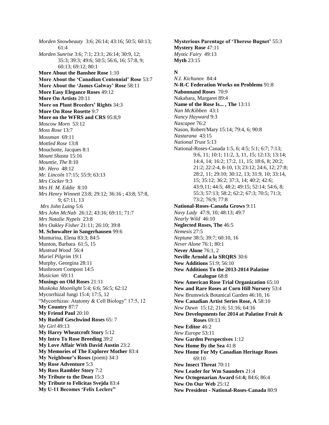*Morden Snowbeauty* 3:6; 26:14; 43:16; 50:5; 60:13; 61:4 *Morden Sunrise* 3:6; 7:1; 23:1; 26:14; 30:9, 12; 35:3; 39:3; 49:6; 50:5; 56:6, 16; 57:8, 9; 60:13; 69:12; 80:1 **More About the Banshee Rose** 1:10 **More About the 'Canadian Centennial' Rose** 53:7 **More About the 'James Galway' Rose** 58:11 **More Easy Elegance Roses** 49:12 **More On Artists** 20:11 **More on Plant Breeders' Rights** 34:3 **More On Rose Rosette** 9:7 **More on the WFRS and CRS** 95:8,9 *Moscow Morn* 53:12 *Moss Rose* 13:7 *Mossman* 69:11 *Mottled Rose* 13:8 Mouchotte, Jacques 8:1 *Mount Shasta* 15:16 *Mountie, The* 8:10 *Mr. Hero* 48:12 *Mr. Lincoln* 17:15; 55:9; 63:13 *Mrs Cocker* 9:3 *Mrs H. M. Eddie* 8:10 *Mrs Henry Winnett* 23:8; 29:12; 36:16 ; 43:8; 57:8, 9; 67:11, 13 *Mrs John Laing* 5:6 *Mrs John McNab* 26:12; 43:16; 69:11; 71:7 *Mrs Natalie Nypels* 23:8 *Mrs Oakley Fisher* 21:11; 26:10; 39:8 **M. Schowalter in Sangerhausen** 99:6 Mumurina, Elena 83:3; 84:5 Munton, Barbara 61:5, 15 *Mustead Wood* 56:4 *Muriel Pilgrim* 19:1 Murphy, Georgina 28:11 Mushroom Compost 14:5 *Musician* 69:11 **Musings on Old Roses** 21:11 *Muskoka Moonlight* 5:4; 6:6; 56:5; 62:12 Mycorrhizal fungi 15:4; 17:5, 12 "Mycorrhizas: Atatomy & Cell Biology" 17:5, 12 **My Country** 87:7 **My Friend Paul** 20:10 **My Rudolf Geschwind Roses** 65: 7 *My Girl* 49:13 **My Harry Wheatcroft Story** 5:12 **My Intro To Rose Breeding** 39:2 **My Love Affair With David Austin** 23:2 **My Memories of The Explorer Mother** 83:4 **My Neighbour's Roses** (poem) 34:3 **My Rose Adventure** 5:3 **My Ross Rambler Story** 7:2 **My Tribute to the Dean** 15:3 **My Tribute to Felicitas Svejda** 83:4 **My U-11 Becomes 'Felix Leclerc"**

**Mysterious Parentage of 'Therese Bugnet'** 55:3 **Mystery Rose** 47:11 *Mystic Fairy* 49:13 **Myth** 23:15

## **N**

*N.I. Kichunov*84:4 **N-R-C Federation Works on Problems** 91:8 **Nabonnand Roses** 70:9 Nakahara, Margaret 89:4 **Name of the Rose Is... , The** 13:11 *Nan McKibben* 43:1 *Nancy Hayward* 9:3 *Nascapee* 76:2 Nason, Robert/Mary 15:14; 79:4, 6; 90:8 *Nastarana* 43:15 *National Trust* 5:13 National-Roses-Canada 1:5, 6; 4:5; 5:1; 6:7; 7:13; 9:6, 11; 10:1; 11:2, 3, 11, 15; 12:13; 13:14; 14:4, 14; 16:2; 17:2, 11, 15; 18:6, 8; 20:2; 21:2; 22:2-4, 8-10, 13; 23:12; 24:6, 12; 27:8; 28:2, 11; 29:10; 30:12, 13; 31:9, 10; 33:14, 15; 35:12; 36:2; 37:3, 14; 40:2; 42:6; 43:9,11; 44:5; 48:2; 49:15; 52:14; 54:6, 8; 55:3; 57:13; 58:2; 62:2; 67:3; 70:5; 71:3; 73:2; 76:9; 77:8 **National-Roses-Canada Grows** 9:11 *Navy Lady* 47:9, 10; 48:13; 49:7 *Nearly Wild* 46:10 **Neglected Roses, The** 46:5 *Nemesis* 27:5 *Neptune* 38:5; 39:7; 60:10, 16 *Never Alone* 76:1; 80:1 **Never Alone** 76:1, 2 **Neville Arnold a la SRQRS** 30:6 **New Additions** 51:9; 56:10 **New Additions To the 2013-2014 Palatine Catalogue** 68:8 **New American Rose Trial Organization** 65:10 **New and Rare Roses at Corn Hill Nursery** 53:4 New Brunswick Botanical Garden 46:10, 16 **New Canadian Artist Series Rose, A** 58:10 *New Dawn* 15:12; 21:6; 51:16; 64:16 **New Developments for 2014 at Palatine Fruit & Roses** 69:13 **New Editor** 46:2 *New Europe* 53:11 **New Garden Perspectives** 1:12 **New Home By the Sea** 41:8 **New Home For My Canadian Heritage Roses** 69:10 **New Insect Threat** 70:11 **New Leader for Wm Saunders** 21:4 **New Octogenarian Award** 64:**4;** 84:6; 86:4 **New On Our Web** 25:12 **New President - National-Roses-Canada** 80:9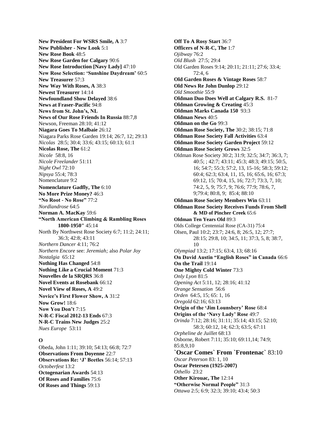**New President For WSRS Smile, A** 3:7 **New Publisher - New Look** 5:1 **New Rose Book** 48:5 **New Rose Garden for Calgary** 90:6 **New Rose Introduction [Navy Lady]** 47:10 **New Rose Selection: 'Sunshine Daydream'** 60:5 **New Treasurer** 57:3 **New Way With Roses, A** 38:3 **Newest Treasurer** 14:14 **Newfoundland Show Delayed** 38:6 **News at Fraser-Pacific** 94:8 **News from St. John's, NL News of Our Rose Friends In Russia** 88:7,8 Newson, Freeman 28:10; 41:12 **Niagara Goes To Malbaie** 26:12 Niagara Parks Rose Garden 19:14; 26:7, 12; 29:13 *Nicolas* 28:5; 30:4; 33:6; 43:15; 60:13; 61:1 **Nicolas Rose, The** 61:2 *Nicole* 58:8, 16 *Nicole Freelander* 51:11 *Night Owl* 72:10 *Nipsya* 55:4; 78:3 Nomenclature 9:2 **Nomenclature Gadfly, The** 6:10 **No More Prize Money?** 46:3 **"No Root - No Rose"** 77:2 *Nordlandrose* 64:5 **Norman A. MacKay** 59:6 **"North American Climbing & Rambling Roses 1800-1950"** 45:14 North By Northwest Rose Society 6:7; 11:2; 24:11; 36:3; 42:8; 43:11 *Northern Dancer* 4:11; 76:2 *Northern Encore* see: *Jeremiah;* also *Polar Joy Nostalgia* 65:12 **Nothing Has Changed** 54:8 **Nothing Like a Crucial Moment** 71:3 **Nouvelles de la SRQRS** 36:8 **Novel Events at Rosebank** 66:12 **Novel View of Roses, A** 49:2 **Novice's First Flower Show, A** 31:2 **Now Grow!** 18:6 **Now You Don't** 7:15 **N-R-C Fiscal 2012-13 Ends** 67:3 **N-R-C Trains New Judges** 25:2

#### **O**

*Nues Europe* 53:11

Obeda, John 1:11; 39:10; 54:13; 66:8; 72:7 **Observations From Doyenne** 22:7 **Observations Re: 'J' Beetles** 56:14; 57:13 *Octoberfest* 13:2 **Octogenarian Awards** 54:13 **Of Roses and Families** 75:6 **Of Roses and Things** 59:13

**Off To A Rosy Start** 36:7 **Officers of N-R-C, The** 1:7 *Ojibway* 76:2 *Old Blush* 27:5; 29:4 Old Garden Roses 9:14; 20:11; 21:11; 27:6; 33:4; 72:4, 6 **Old Garden Roses & Vintage Roses** 58:7 **Old News Re John Dunlop** 29:12 *Old Smoothie* 55:9 **Oldman Duo Does Well at Calgary R.S.** 81-7 **Oldman Growing & Creating** 45:3 **Oldman Marks Canada 150** 93:3 **Oldman News** 40:5 **Oldman on the Go** 99:3 **Oldman Rose Society, The** 30:2; 38:15; 71:8 **Oldman Rose Society Fall Activities** 63:4 **Oldman Rose Society Garden Project** 59:12 **Oldman Rose Society Grows** 32:5 Oldman Rose Society 30:2; 31:9; 32:5; 34:7; 36:3, 7; 40:5; ; 42:7; 43:11; 45:3; 48:3; 49:15; 50:5, 16; 54:7; 55:3; 57:2, 13, 15-16; 58:3; 59:12; 60:4; 62:3; 63:4, 11, 15, 16; 65:6, 16; 67:3; 69:12, 15; 70:4, 15, 16; 72:7; 73:3, 7, 10; 74:2, 5, 9; 75:7, 9; 76:6; 77:9; 78:6, 7, 9;79:4; 80:8, 9; 85:4; 88:10 **Oldman Rose Society Members Win** 63:11 **Oldman Rose Society Receives Funds From Shell & MD of Pincher Creek** 65:6 **Oldman Ten Years Old** 89:3 Olds College Centennial Rose (CA-31) 75:4 Olsen, Paul 10:2; 23:7; 24:6, 8; 26:5, 12; 27:7; 28:15; 29:8, 10; 34:5, 11; 37:3, 5, 8; 38:7, 10 *Olympiad* 13:2; 17:15; 63:4, 13; 68:16 **On David Austin "English Roses" in Canada** 66:6 **On the Trail** 19:14 **One Mighty Cold Winter** 73:3 *Only Lyon* 81:5 *Opening Act* 5:11, 12; 28:16; 41:12 *Orange Sensation* 56:6 *Orden* 64:5, 15; 65: 1, 16 *Oregold* 62:16; 63:13 **Origin of the 'Jim Lounsbery' Rose** 68:4 **Origins of the 'Navy Lady' Rose** 49:7 *Orinda* 7:12; 28:16; 31:11; 35:14; 43:15; 52:10; 58:3; 60:12, 14; 62:3; 63:5; 67:11 *Orpheline de Juillet* 68:13 Osborne, Robert 7:11; 35:10; 69:11,14; 74:9; 85:8,9,10 **`Oscar Comes` From `Frontenac`** 83:10 *Oscar Peterson* 83: 1, 10 **Oscar Petersen (1925-2007)** *Othello* 23:2 **Other Kirouac, The** 12:14 **"Otherwise Normal People"** 31:3 *Ottawa* 2:5; 6:9; 32:3; 39:10; 43:4; 50:3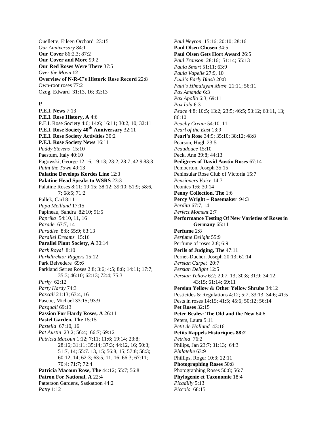Ouellette, Eileen Orchard 23:15 *Our Anniversary* 84:1 **Our Cover** 86:2,3; 87:2 **Our Cover and More** 99:2 **Our Red Roses Were There** 37:5 *Over the Moon* **12 Overview of N-R-C's Historic Rose Record** 22:8 Own-root roses 77:2 Ozog, Edward 31:13, 16; 32:13

#### **P**

**P.E.I. News** 7:13 **P.E.I. Rose History, A** 4:6 P.E.I. Rose Society 4:6; 14:6; 16:11; 30:2, 10; 32:11 **P.E.I. Rose Society 40th Anniversary** 32:11 **P.E.I. Rose Society Activities** 30:2 **P.E.I. Rose Society News** 16:11 *Paddy Stevens* 15:10 Paestum, Italy 40:10 Pagowski, George 12:16; 19:13; 23:2; 28:7; 42:9 83:3 *Paint the Town* 49:13 **Palatine Develops Kordes Line** 12:3 **Palatine Head Speaks to WSRS** 23:3 Palatine Roses 8:11; 19:15; 38:12; 39:10; 51:9; 58:6, 7; 68:5; 71:2 Pallek, Carl 8:11 *Papa Meilland* 17:15 Papineau, Sandra 82:10; 91:5 *Paprika* 54:10, 11, 16 *Parade* 67:7, 14 *Paradise* 8:8; 55:9; 63:13 *Parallel Dreams* 15:16 **Parallel Plant Society, A** 30:14 *Park Royal* 8:10 *Parkdirektor Riggers* 15:12 Park Belvedere 69:6 Parkland Series Roses 2:8; 3:6; 4:5; 8:8; 14:11; 17:7; 35:3; 46:10; 62:13; 72:4; 75:3 *Parky* 62:12 *Party Hardy* 74:3 *Pascali* 21:13; 63:4, 16 Pascoe, Michael 33:15; 93:9 *Pasquali* 69:13 **Passion For Hardy Roses, A** 26:11 **Pastel Garden, The** 15:15 *Pastella* 67:10, 16 *Pat Austin* 23:2; 56:4; 66:7; 69:12 *Patricia Macoun* 1:12; 7:11; 11:6; 19:14; 23:8; 28:16; 31:11; 35:14; 37:3; 44:12, 16; 50:3; 51:7, 14; 55:7. 13, 15; 56:8, 15; 57:8; 58:3; 60:12, 14; 62:3; 63:5, 11, 16; 66:3; 67:11; 70:4; 71:7; 72:4 **Patricia Macoun Rose, The** 44:12; 55:7; 56:8 **Patron For National, A** 22:4 Patterson Gardens, Saskatoon 44:2 *Patty* 1:12

*Paul Neyron* 15:16; 20:10; 28:16 **Paul Olsen Chosen** 34:5 **Paul Olsen Gets Hort Award** 26:5 *Paul Transon* 28:16; 51:14; 55:13 *Paula Smart* 51:11; 63:9 *Paula Vapelle* 27:9, 10 *Paul's Early Blush* 20:8 *Paul's Himalayan Musk* 21:11; 56:11 *Pax Amanda* 6:3 *Pax Apollo* 6:3; 69:11 *Pax Iola* 6:3 *Peace* 4:8; 10:5; 13:2; 23:5; 46:5; 53:12; 63:11, 13; 86:10 *Peachy Cream* 54:10, 11 *Pearl of the East* 13:9 **Pearl's Rose** 34:9; 35:10; 38:12; 48:8 Pearson, Hugh 23:5 *Peaudouce* 15:10 Peck, Ann 39:8; 44:13 **Pedigrees of David Austin Roses** 67:14 Pemberton, Joseph 35:15 Peninsular Rose Club of Victoria 15:7 *Pensioners Voice* 14:7 Peonies 1:6; 30:14 **Peony Collection, The** 1:6 **Percy Wright – Rosemaker** 94:3 *Perdita* 67:7, 14 *Perfect Moment* 2:7 **Performance Testing Of New Varieties of Roses in Germany** 65:11 **Perfume** 2:8 *Perfume Delight* 55:9 Perfume of roses 2:8; 6:9 **Perils of Judging, The** 47:11 Pernet-Ducher, Joseph 20:13; 61:14 *Persian Carpet* 20:7 *Persian Delight* 12:5 *Persian Yellow* 6:2; 20:7, 13; 30:8; 31:9; 34:12; 43:15; 61:14; 69:11 **Persian Yellow & Other Yellow Shrubs** 34:12 Pesticides & Regulations 4:12; 5:7; 33:13; 34:6; 41:5 Pests in roses 14:15; 41:5; 45:6; 50:12; 56:14 **Pet Roses** 32:15 **Peter Beales: The Old and the New** 64:6 Peters, Laura 5:11 *Petit de Holland* 43:16 **Petits Rappels Historiques 88:2** *Petrina* 76:2 Philips, Jan 23:7; 31:13; 64:3 *Philatelie* 63:9 Phillips, Roger 10:3; 22:11 **Photographing Roses** 50:8 Photographing Roses 50:8; 56:7 **Phylogenie et Taxonomie** 18:4 *Picadilly* 5:13 *Piccolo* 68:15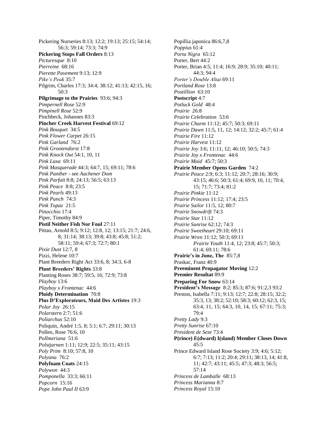Pickering Nurseries 8:13; 12:2; 19:13; 25:15; 54:14; 56:3; 59:14; 73:3; 74:9 **Pickering Stops Fall Orders** 8:13 *Picturesque* 8:10 *Pierreine* 68:16 *Pierette Pavement* 9:13; 12:9 *Pike's Peak* 35:7 Pilgrim, Charles 17:3; 34:4; 38:12; 41:13; 42:15, 16; 50:3 **Pilgrimage to the Prairies** 93:6; 94:3 *Pimpernell Rose* 52:9 *Pimpinell Rose* 52:9 Pinchbeck, Johannes 83:3 **Pincher Creek Harvest Festival** 69:12 *Pink Bouquet* 34:5 *Pink Flower Carpet* 26:15 *Pink Garland* 76:2 *Pink Grootendorst* 17:8 *Pink Knock Out* 54:1, 10, 11 *Pink Laxa* 69:11 *Pink Masquerade* 44:3; 64:7, 15; 69:11; 78:6 *Pink Panther* - see *Aachener Dom Pink Parfait* 8:8; 24:13; 56:5; 63:13 *Pink Peace* 8:8; 23:5 *Pink Pearls* 49:13 *Pink Punch* 74:3 *Pink Topaz* 21:5 *Pinocchio* 17:4 Piper, Timothy 84:9 **Pistil Neither Fish Nor Foul** 27:11 Pittao, Arnold 8:5; 9:12; 12:8, 12; 13:15; 21:7; 24:6, 8; 31:14; 38:13; 39:8; 43:8; 45:8; 51:2; 58:11; 59:4; 67:3; 72:7; 80:1 *Pixie Dust* 12:7, 8 Pizzi, Helene 10:7 Plant Breeders Right Act 33:6, 8; 34:3, 6-8 **Plant Breeders' Rights** 33:8 Planting Roses 38:7; 59:5, 16; 72:9; 73:8 *Playboy* 13:6 *Playboy x Frontenac* 44:6 **Ploidy Determination** 70:8 **Plus D'Explorateurs, Maid Des Artistes** 19:3 *Polar Joy* 26:15 *Polarstern* 2:7; 51:6 *Poliarchus* 52:10 Poliquin, André 1:5, 8; 5:1; 6:7; 29:11; 30:13 Pollen, Rose 76:6, 10 *Pollmeriana* 51:6 *Polstjarnen* 1:11; 12:9; 22:5; 35:11; 43:15 *Poly Prim* 8:10; 57:8, 10 *Polyana* 76:2 **Polyfoam Coats** 24:15 *Polywon* 44:3 *Pomponella* 33:3; 66:11 *Popcorn* 15:16 *Pope John Paul II* 63:9

Popillia japonica 86:6,7,8 *Poppius* 61:4 *Porta Nigra* 65:12 Porter, Bert 44:2 Porter, Brian 4:5; 11:4; 16:9; 28:9; 35:10; 40:11; 44:3; 94:4 *Porter's Double Altai* 69:11 *Portland Rose* 13:8 *Postillion* 63:10 **Postscript** 4:7 *Potluck Gold* 48:4 *Prairie* 26:8 *Prairie Celebration* 53:6 *Prairie Charm* 11:12; 45:7; 50:3; 69:11 *Prairie Dawn* 11:5, 11, 12; 14:12; 32:2; 45:7; 61:4 *Prairie Fire* 11:12 *Prairie Harvest* 11:12 *Prairie Joy* 3:6; 11:11, 12; 46:10; 50:5; 74:3 *Prairie Joy x Frontenac* 44:6 *Prairie Maid* 45:7; 50:3 **Prairie Member Opens Garden** 74:2 *Prairie Peace* 2:9; 6:3; 11:12; 20:7; 28:16; 30:9; 43:15; 46:6; 50:3; 61:4; 69:9, 10, 11; 70:4, 15; 71:7; 73:4; 81:2 *Prairie Pinkie* 11:12 *Prairie Princess* 11:12; 17:4; 23:5 *Prairie Sailor* 11:5, 12; 80:7 *Prairie Snowdrift* 74:3 *Prairie Star* 11:12 *Prairie Sunrise* 62:12; 74:3 *Prairie Sweetheart* 29:10; 69:11 *Prairie Wren* 11:12; 50:3; 69:11 *Prairie Youth* 11:4, 12; 23:8; 45:7; 50:3; 61:4; 69:11; 78:6 **Prairie's in June, The** 85:7,8 Praskac, Franz 40:9 **Preeminent Propagator Moving** 12:2 **Premier Resultat** 89:9 **Preparing For Snow** 63:14 **President's Message** 8:2; 85:3; 87:6; 91:2,3 93:2 Preston, Isabella 7:11; 9:13; 12:7; 22:8; 28:15; 32:2; 35:3, 13; 38:2; 52:10; 58:3; 60:12; 62:3, 15; 63:4, 11, 15; 64:3, 10, 14, 15; 67:11; 75:3; 79:4 *Pretty Lady* 9:3 *Pretty Sunrise* 67:10 *President de Seze* 73:4 **P(rince) E(dward) I(sland) Member Closes Down**  $45.5$ Prince Edward Island Rose Society 3:9; 4:6; 5:12; 6:7; 7:13; 11:2; 20:4; 29:11; 38:13, 14; 41:8, 11; 42:7; 43:11; 45:5; 47:3; 48:3; 56:5; 57:14 *Princess de Lamballe* 68:13 *Princess Marianna* 8:7 *Princess Royal* 15:10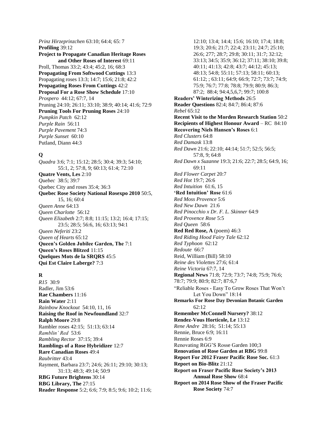*Prinz Hirzeprinzchen* 63:10; 64:4; 65: 7 **Profiling** 39:12 **Project to Propagate Canadian Heritage Roses and Other Roses of Interest** 69:11 Proll, Thomas 33:2; 43:4; 45:2, 16; 68:3 **Propagating From Softwood Cuttings** 13:3 Propagating roses 13:3; 14:7; 15:6; 21:8; 42:2 **Propagating Roses From Cuttings** 42:2 **Proposal For a Rose Show Schedule** 17:10 *Prospero* 44:12; 67:7, 14 Pruning 24:10; 26:11; 33:10; 38:9; 40:14; 41:6; 72:9 **Pruning Tools For Pruning Roses** 24:10 *Pumpkin Patch* 62:12 *Purple Rain* 56:11 *Purple Pavement* 74:3 *Purple Sunset* 60:10 Putland, Diann 44:3

## **Q**

*Quadra* 3:6; 7:1; 15:12; 28:5; 30:4; 39:3; 54:10; 55:1, 2; 57:8, 9; 60:13; 61:4; 72:10 **Quatre Vents, Les** 2:10 *Quebec* 38:5; 39:7 Quebec City and roses 35:4; 36:3 **Quebec Rose Society National Rosexpo 2010** 50:5, 15, 16; 60:4 *Queen Anne* 64:13 *Queen Charlotte* 56:12 *Queen Elizabeth* 2:7; 8:8; 11:15; 13:2; 16:4; 17:15; 23:5; 28:5; 56:6, 16; 63:13; 94:1 *Queen Neferiti* 23:2 *Queen of Hearts* 65:12 **Queen's Golden Jubilee Garden, The** 7:1 **Queen's Roses Blitzed** 11:15 **Quelques Mots de la SRQRS** 45:5 **Qui Est Claire Laberge?** 7:3

## **R**

*R15* 30:9 Radler, Jim 53:6 **Rae Chambers** 11:16 **Rain Water** 2:11 *Rainbow Knockout* 54:10, 11, 16 **Raising the Roof in Newfoundland** 32:7 **Ralph Moore** 29:8 Rambler roses 42:15; 51:13; 63:14 *Ramblin' Red* 53:6 *Rambling Rector* 37:15; 39:4 **Ramblings of a Rose Hybridizer** 12:7 **Rare Canadian Roses** 49:4 *Raubritter* 43:4 Rayment, Barbara 23:7; 24:6; 26:11; 29:10; 30:13; 31:13; 48:3; 49:14; 50:9 **RBG Future Brightens** 30:14 **RBG Library, The** 27:15 **Reader Response** 5:2; 6:6; 7:9; 8:5; 9:6; 10:2; 11:6;

12:10; 13:4; 14:4; 15:6; 16:10; 17:4; 18:8; 19:3; 20:6; 21:7; 22:4; 23:11; 24:7; 25:10; 26:6; 277; 28:7; 29:8; 30:11; 31:7; 32:12; 33:13; 34:5; 35:9; 36:12; 37:11; 38:10; 39:8; 40:11; 41:13; 42:8; 43:7; 44:12; 45:13; 48:13; 54:8; 55:11; 57:13; 58:11; 60:13; 61:12; ; 63:11; 64:9; 66:9; 72:7; 73:7; 74:9; 75:9; 76:7; 77:8; 78:8; 79:9; 80:9; 86:3; 87:2; 88:4; 94:4,5,6,7; 99:7; 100:8 **Readers' Winterizing Methods** 26:5 **Reader Questions** 82:4; 84:7; 86:4; 87:6 *Rebel* 65:12 **Recent Visit to the Morden Research Station** 50:2 **Recipients of Highest Honour Award** – RC 84:10 **Recovering Niels Hansen's Roses** 6:1 *Red Clusters* 64:8 *Red Damask* 13:8 *Red Dawn* 21:6; 22:10; 44:14; 51:7; 52:5; 56:5; 57:8, 9; 64:8 *Red Dawn x Suzanne* 19:3; 21:6; 22:7; 28:5; 64:9, 16; 69:11 *Red Flower Carpet* 20:7 *Red Hot* 19:7; 26:6 *Red Intuition* 61:6, 15 **'Red Intuition' Rose** 61:6 *Red Moss Provence* 5:6 *Red New Dawn* 21:6 *Red Pinocchio x Dr. F. L. Skinner* 64:9 *Red Provence Rose* 5:5 *Red Queen* 58:6 **Red Red Rose, A** (poem) 46:3 *Red Riding Hood Fairy Tale* 62:12 *Red Typhoon* 62:12 *Redoute* 66:7 Reid, William (Bill) 58:10 *Reine des Violettes* 27:6; 61:4 *Reine Victoria* 67:7, 14 **Regional News** 71:8; 72:9; 73:7; 74:8; 75:9; 76:6; 78:7; 79:9; 80:9; 82:7; 87:6,7 "Reliable Roses - Easy To Grow Roses That Won't Let You Down" 18:14 **Remarks For Rose Day Devonian Botanic Garden** 62:12 **Remember McConnell Nursery?** 38:12 **Rendez-Vous Horticole, Le** 13:12 *Rene Andre* 28:16; 51:14; 55:13 Rennie, Bruce 6:9; 16:11 Rennie Roses 6:9 Renovating RGG'S Rosse Garden 100;3 **Renovation of Rose Garden at RBG** 99:8 **Report For 2012 Fraser Pacific Rose Soc.** 61:3 **Report on Bio-Blitz** 21:12 **Report on Fraser Pacific Rose Society's 2013 Annual Rose Show** 68:4 **Report on 2014 Rose Show of the Fraser Pacific Rose Society** 74:7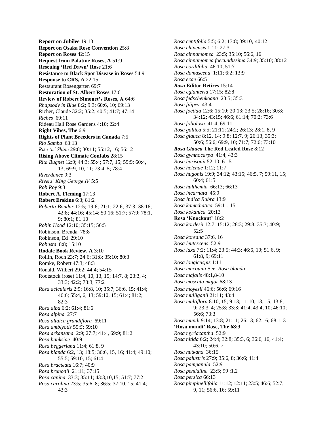**Report on Jubilee** 19:13 **Report on Osaka Rose Convention** 25:8 **Report on Roses** 42:15 **Request from Palatine Roses, A** 51:9 **Rescuing 'Red Dawn' Rose** 21:6 **Resistance to Black Spot Disease in Roses** 54:9 **Response to CRS, A** 22:15 Restaurant Rosengarten 69:7 **Restoration of St. Albert Roses** 17:6 **Review of Robert Simonet's Roses, A** 64:6 *Rhapsody in Blue* 8:2; 9:3; 60:6, 10; 69:13 Richer, Claude 32:2; 35:2; 40:5; 41:7; 47:14 *Riches* 69:11 Rideau Hall Rose Gardens 4:10; 22:4 **Right Vibes, The** 6:9 **Rights of Plant Breeders in Canada** 7:5 *Rio Samba* 63:13 *Rise 'n' Shine* 29:8; 30:11; 55:12, 16; 56:12 **Rising Above Climate Confabs** 28:15 *Rita Bugnet* 12:9; 44:3; 55:4; 57:7, 15; 59:9; 60:4, 13; 69:9, 10, 11; 73:4, 5; 78:4 *Riverdance* 9:3 *Rivers' King George IV* 5:5 *Rob Roy* 9:3 **Robert A. Fleming** 17:13 **Robert Erskine** 6:3; 81:2 *Roberta Bondar* 12:5; 19:6; 21:1; 22:6; 37:3; 38:16; 42:8; 44:16; 45:14; 50:16; 51:7; 57:9; 78:1, 9; 80:1; 81:10 *Robin Hood* 12:10; 35:15; 56:5 Robinson, Brenda 78:8 Robinson, Ed 29:10 *Robusta* 8:8; 15:10 **Rodale Book Review, A** 3:10 Rollin, Roch 23:7; 24:6; 31:8; 35:10; 80:3 Romke, Robert 47:3; 48:3 Ronald, Wilbert 29:2; 44:4; 54:15 Rootstock (rose) 11:4, 10, 13, 15; 14:7, 8; 23:3, 4; 33:3; 42:2; 73:3; 77:2 *Rosa acicularis* 2:9; 16:8, 10; 35:7; 36:6, 15; 41:4; 46:6; 55:4, 6, 13; 59:10, 15; 61:4; 81:2; 82:3 *Rosa alba* 6:2; 61:4; 81:6 *Rosa alpina* 27:7 *Rosa altaica grandiflora* 69:11 *Rosa amblyotis* 55:*5*; 59:10 *Rosa arkansana* 2:9; 27:7; 41:4, 69:9; 81:2 *Rosa banksiae* 40:9 *Rosa beggeriana* 11:4; 61:8, 9 *Rosa blanda* 6:2, 13; 18:5; 36:6, 15, 16; 41:4; 49:10; 55:5; 59:10, 15; 61:4 *Rosa bracteata* 16:7; 40:9 *Rosa brunonii* 21:11; 37:15 *Rosa canina* 33:3; 35:11; 43:3,10,15; 51:7; 77:2 *Rosa carolina* 23:5; 35:6, 8; 36:5; 37:10, 15; 41:4; 43:3

*Rosa centifolia* 5:5; 6:2; 13:8; 39:10*;* 40:12 *Rosa chinensis* 1:11; 27:3 *Rosa cinnamomea* 23:5; 35:10; 56:6, 16 *Rosa cinnamomea foecundissima* 34:9; 35:10; 38:12 *Rosa cordifolia* 46:10; 51:7 *Rosa damascena* 1:11; 6:2; 13:9 *Rosa ecae* 66:5 *Rosa* **Editor Retires** 15:14 *Rosa eglanteria* 17:15; 82:8 *Rosa fedschenkoana* 23:5; 35:3 *Rosa filipes* 43:4 *Rosa foetida* 12:6; 15:10; 20:13; 23:5; 28:16; 30:8; 34:12; 43:15; 46:6; 61:14; 70:2; 73:6 *Rosa foliolosa* 41:4; 69:11 *Rosa gallica* 5:5; 21:11; 24:2; 26:13; 28:1, 8, 9 *Rosa glauca* 8:12, 14; 9:8; 12:7, 9; 26:13; 35:3; 50:6; 56:6; 69:9, 10; 71:7; 72:6; 73:10 *Rosa Glauca* **The Red Leafed Rose** 8:12 *Rosa gymnocarpa* 41:4; 43:3 *Rosa harisonii* 52:10; 61:5 *Rosa helenae* 1:12; 11:7 *Rosa hugonis* 19:9; 34:12; 43:15; 46:5, 7; 59:11, 15; 60:4; 61:5 *Rosa hulthemia* 66:13; 66:13 *Rosa incarnata* 45:9 *Rosa Indica Rubra* 13:9 *Rosa kamtchatica* 59:11, 15 *Rosa kokanica* 20:13 **Rosa 'Knockout'** 18:2 *Rosa kordesii* 12:7; 15:12; 28:3; 29:8; 35:3; 40:9; 52:5 *Rosa koreana* 37:6, 16 *Rosa leutescens* 52:9 *Rosa laxa* 7:2; 11:4; 23:5; 44:3; 46:6, 10; 51:6, 9; 61:8, 9; 69:11 *Rosa longicuspis* 1:11 *Rosa macounii* See: *Rosa blanda Rosa majalis* 48:1,8-10 *Rosa moscata major* 68:13 *Rosa moyesii* 46:6; 56:6; 69:16 *Rosa mulliganii* 21:11; 43:4 *Rosa multiflora* 8:10, 15; 9:13; 11:10, 13, 15; 13:8, 9; 23:3, 4; 25:8; 33:3; 41:4; 43:4, 10; 46:10; 56:6; 73:3 *Rosa mundi* 9:14; 13:8; 21:11; 26:13; 62:16; 68:1, 3 **'Rosa mundi' Rose, The 68:3** *Rosa myriacantha* 52:9 *Rosa nitida* 6:2; 24:4; 32:8; 35:3, 6; 36:6, 16; 41:4; 43:10; 50:6, 7 *Rosa nutkana* 36:15 *Rosa palustris* 27:9; 35:6, 8; 36:6; 41:4 *Rosa pampanula* 52:9 *Rosa pendulina* 23:5; 99 :1,2 *Rosa persica* 66:13 *Rosa pimpinellifolia* 11:12; 12:11; 23:5; 46:6; 52:7, 9, 11; 56:6, 16; 59:11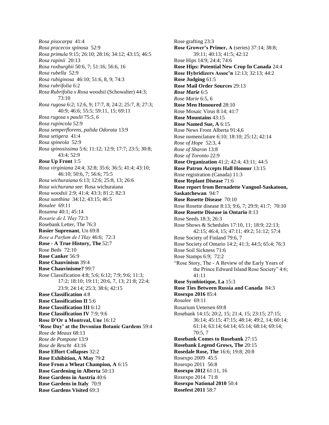*Rosa pisocarpa* 41:4 *Rosa pracecox spinosa* 52:9 *Rosa primula* 9:15; 26:10; 28:16; 34:12; 43:15; 46:5 *Rosa rapinii* 20:13 *Rosa roxburghii* 50:6, 7; 51:16; 56:6, 16 *Rosa rubella* 52:9 *Rosa rubiginosa* 46:10; 51:6, 8, 9; 74:3 *Rosa rubrifolia* 6:2 *Rosa Rubrifolia x Rosa woodsii* (Schowalter) 44:3; 73:10 *Rosa rugosa* 6:2; 12:6, 9; 17:7, 8; 24:2; 25:7, 8; 27:3; 40:9; 46:6; 55:5; 59:11, 15; 69:11 *Rosa rugosa x paulii* 75:*5, 6 Rosa rupincola* 52:9 *Rosa semperflorens, palida Odorata* 13:9 *Rosa setigera* 41:4 *Rosa spineola* 52:9 *Rosa spinosissima* 5:6; 11:12; 12:9; 17:7; 23:5; 30:8; 43:4; 52:9 *Rosa* **Up Front** 1:5 *Rosa virginiana* 24:4; 32:8; 35:6; 36:5; 41:4; 43:10; 46:10; 50:6, 7; 56:6; 75:5 *Rosa wichuraiana* 6:13; 12:6; 25:8, 13; 26:6 *Rosa wichurana* see: Rosa wichuraiana *Rosa woodsii* 2:9; 41:4; 43:3; 81:2; 82:3 *Rosa xanthina* 34:12; 43:15; 46:5 *Rosalee* 69:11 *Rosanna* 40:1; 45:14 *Rosarie de L'Hay* 72:3 Rosebank Letter, The 76:3 **Rosier Suprenant**, Un 69:8 *Rose a Parfum de l'Hay* 46:6; 72:3 **Rose - A True History, The** 52:7 Rose Beds 72:10 **Rose Canker** 56:9 **Rose Chauvinism** 39:4 **Rose Chauvinisme?** 99:7 Rose Classification 4:8; 5:6; 6:12; 7:9; 9:6; 11:3; 17:2; 18:10; 19:11; 20:6, 7, 13; 21:8; 22:4; 23:9; 24:14; 25:3; 38:6; 42:15 **Rose Classification** 4:8 **Rose Classification II** 5:6 **Rose Classification III** 6:12 **Rose Classification IV** 7:9; 9:6 **Rose D'Or a Montreal, Une** 16:12 **'Rose Day' at the Devonian Botanic Gardens** 59:4 *Rose de Meaux* 68:13 *Rose de Pompone* 13:9 *Rose de Rescht* 43:16 **Rose Effort Collapses** 32:2 **Rose Exhibition, A May** 79:**2 Rose From a Wheat Champion, A** 6:15 **Rose Gardening in Alberta** 50:13 **Rose Gardens in Austria** 40:6 **Rose Gardens in Italy** 70:9 **Rose Gardens Visited** 69:3

Rose grafting 23:3 **Rose Grower's Primer, A** (series) 37:14; 38:8; 39:11; 40:13; 41:5; 42:12 Rose Hips 14:9; 24:4; 74:6 **Rose Hips: Potential New Crop In Canada** 24:4 **Rose Hybridizers Assoc'n** 12:13; 32:13; 44:2 **Rose Judging** 61:5 **Rose Mail Order Sources** 29:13 *Rose Marie* 6:5 *Rose Marie* 6:5, 6 **Rose Men Honoured** 28:10 Rose Mosaic Virus 8:14; 41:7 **Rose Mountains** 43:15 **Rose Named Sue, A** 6:15 Rose News From Alberta 91:4,6 Rose nomenclature 6:10; 18:10; 25:12; 42:14 *Rose of Hope* 52:3, 4 *Rose of Sharon* 13:8 *Rose of Toronto* 22:9 **Rose Organization** 41:2; 42:4; 43:11; 44:5 **Rose Patron Accepts Hall Honour** 13:15 Rose registration (Canada) 11:3 **Rose Replant Disease** 71:6 **Rose report from Bernadette Vangool-Saskatoon, Saskatchewan** 94:7 **Rose Rosette Disease** 70:10 Rose Rosette disease 8:13; 9:6, 7; 29:9; 41:7; 70:10 **Rose Rosette Disease in Ontario** 8:13 Rose Seeds 18:3; 26:3 Rose Shows & Schedules 17:10, 11; 18:9; 22:13; 42:15; 46:4, 15; 47:11; 49:2; 51:12; 57:4 Rose Society of Finland 79:6, 7 Rose Society of Ontario 14:2; 41:3; 44:5; 65:4; 76:3 Rose Soil Sickness 71:6 Rose Stamps 6:9; 72:2 "Rose Story, The - A Review of the Early Years of the Prince Edward Island Rose Society" 4:6; 41:11 **Rose Symbiotique, La** 15:3 **Rose Ties Between Russia and Canada** 84:3 **Rosexpo 2016** 85:4 *Rosalee* 69:11 Rosarium Uetersen 69:8 Rosebank 14:15; 20:2, 15; 21:4, 15; 23:15; 27:15; 36:14; 45:15; 47:15; 48:14; 49:2, 14; 60:14; 61:14; 63:14; 64:14; 65:14; 68:14; 69:14; 70:5, 7 **Rosebank Comes to Rosebank** 27:15 **Rosebank Legend Grows, The** 20:15 **Rosedale Rose, The** 16:6; 19:8; 20:8 Rosexpo 2009 45:5 Rosexpo 2011 56:8 **Rosexpo 2012** 61:11, 16 Roxexpo 2014 71:8 **Rosexpo National 2010** 50:4 **Rosefest 2011** 58:7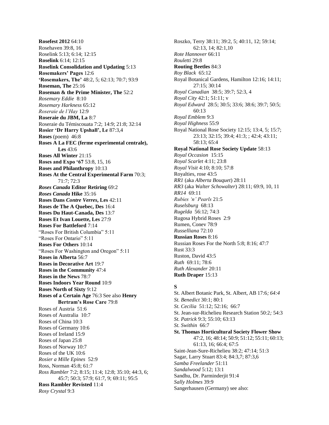**Rosefest 2012** 64:10 Rosehaven 39:8, 16 Roselink 5:13; 6:14; 12:15 **Roselink** 6:14; 12:15 **Roselink Consolidation and Updating** 5:13 **Rosemakers' Pages** 12:6 **'Rosemakers, The'** 48:2, 5; 62:13; 70:7; 93:9 **Roseman, The** 25:16 **Roseman & the Prime Minister, The** 52:2 *Rosemary Eddie* 8:10 *Rosemary Harkness* 65:12 *Roseraie de l'Hay* 12:9 **Roseraie du JBM, La** 8:7 Roseraie du Témiscouata 7:2; 14:9; 21:8; 32:14 **Rosier 'Dr Harry Upshall', Le** 87:3,4 **Roses** (poem) 46:8 **Roses A La FEC (ferme experimental centrale), Les** 43:6 **Roses All Winter** 21:15 **Roses and Expo '67** 53:8, 15, 16 **Roses and Philanthropy** 10:13 **Roses At the Central Experimental Farm** 70:3; 71:7; 72:3 *Roses Canada* **Editor Retiring** 69:2 *Roses Canada* **Hike** 35:16 **Roses Dans** *Contre Verres***, Les** 42:11 **Roses de The A Quebec, Des** 16:4 **Roses Du Haut-Canada, Des** 13:7 **Roses Et Ivan Louette, Les** 27:9 **Roses For Battleford** 7:14 "Roses For British Columbia" 5:11 "Roses For Ontario" 5:11 **Roses For Others** 10:14 "Roses For Washington and Oregon" 5:11 **Roses in Alberta** 56:7 **Roses in Decorative Art** 19:7 **Roses in the Community** 47:4 **Roses in the News** 78:7 **Roses Indoors Year Round** 10:9 **Roses North of Sixty** 9:12 **Roses of a Certain Age** 76:3 See also **Henry Bertram's Rose Care** 79:8 Roses of Austria 51:6 Roses of Australia 10:7 Roses of China 10:3 Roses of Germany 10:6 Roses of Ireland 15:9 Roses of Japan 25:8 Roses of Norway 10:7 Roses of the UK 10:6 *Rosier a Mille Epines* 52:9 Ross, Norman 45:8; 61:7 *Ross Rambler* 7:2; 8:15; 11:4; 12:8; 35:10; 44:3, 6; 45:7; 50:3; 57:9; 61:7, 9; 69:11; 95:5 **Ross Rambler Revisted** 11:4 *Rosy Crystal* 9:3

Roszko, Terry 38:11; 39:2, 5; 40:11, 12; 59:14; 62:13, 14; 82:1,10 *Rote Hannover* 66:11 *Rouletti* 29:8 **Routing Beetles** 84:3 *Roy Black* 65:12 Royal Botanical Gardens, Hamilton 12:16; 14:11; 27:15; 30:14 *Royal Canadian* 38:5; 39:7; 52:3, 4 *Royal City* 42:1; 51:11; v *Royal Edward* 28:5; 30:5; 33:6; 38:6; 39:7; 50:5; 60:13 *Royal Emblem* 9:3 *Royal Highness* 55:9 Royal National Rose Society 12:15; 13:4, 5; 15:7; 23:13; 32:15; 39:4; 41:3; ; 42:4; 43:11; 58:13; 65:4 **Royal National Rose Society Update** 58:13 *Royal Occasion* 15:15 *Royal Scarlet* 4:11; 23:8 *Royal Visit* 4:10; 8:10; 57:8 Royalties, rose 43:5 *RR1* (aka *Alberta Bouquet*) 28:11 *RR3* (aka *Walter Schowalter*) 28:11; 69:9, 10, 11 *RR14* 69:11 *Rubies 'n' Pearls* 21:5 *Ruselsburg* 68:13 *Rugelda* 56:12; 74:3 Rugosa Hybrid Roses 2:9 Rumen, Conev 78:9 *Russelliana* 72:10 **Russian Roses** 8:16 Russian Roses For the North 5:8; 8:16; 47:7 Rust 33:3 Ruston, David 43:5 *Ruth* 69:11; 78:6 *Ruth Alexander* 20:11 **Ruth Draper** 15:13

#### **S**

St. Albert Botanic Park, St. Albert, AB 17:6*; 64:4 St. Benedict* 30:1; 80:1 *St. Cecilia* 51:12; 52:16; 66:7 St. Jean-sur-Richelieu Research Station 50:2*;* 54:3 *St. Patrick* 9:3; 55:10; 63:13 *St. Swithin* 66:7 **St. Thomas Horticultural Society Flower Show** 47:2, 16; 48:14; 50:9; 51:12; 55:11; 60:13; 61:13, 16; 66:4; 67:5 Saint-Jean-Sure-Richelieu 38:2; 47:14; 51:3 Sagar, Larry Stuart 83:4; 84:3,7; 87:3,6 *Samba Freelander* 51:11 *Sandalwood* 5:12; 13:1 Sandhu, Dr. Parminderjit 91:4 *Sally Holmes* 39:9 Sangerhausen (Germany) see also: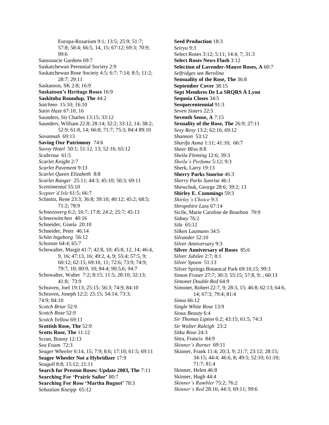Europa-Rosarium 9:1; 13:5; 25:9; 51:7; 57:8; 58:4; 66:5, 14, 15; 67:12; 69:3; 70:9; 99:6 Sanssoucie Gardens 69:7 Saskatchewan Perennial Society 2:9 Saskatchewan Rose Society 4:5; 6:7; 7:14; 8:5; 11:2; 28:7; 29:11 Saskatoon, SK 2:8; 16:9 **Saskatoon's Heritage Roses** 16:9 **Saskitoba Roundup, The** 44:2 *Satchmo* 15:10; 16:10 *Satin Haze* 67:10, 16 Saunders, Sir Charles 13:15; 33:12 Saunders, William 22:8; 28:14; 32:2; 33:12, 14; 38:2; 52:9; 61:8, 14; 66:8; 71:7; 75:3; 84:4 89:10 *Savannah* 69:13 **Saving Our Patrimony** 74:6 *Savoy Hotel* 50:1; 51:12, 13; 52:16; 65:12 *Scabrosa* 61:5 *Scarlet Knight* 2:7 *Scarlet Pavement* 9:13 *Scarlet Queen Elizabeth* 8:8 *Scarlet Ranger* 25:11; 44:3; 45:10; 50:3; 69:11 *Scentimental* 55:10 *Scepter'd Isle* 61:5; 66:7 Schmitz, Rene 23:3; 36:8; 39:10; 40:12; 45:2; 68:5; 71:2; 78:9 *Schneezwerg* 6:2; 16:7; 17:8; 24:2; 25:7; 45:13 *Schneewittchen* 40:16 Schneider, Gisela 20:10 Schneider, Peter 46:14 *Schön Ingeborg* 56:12 *Schonste* 64:4; 65:7 Schowalter, Margit 41:7; 42:8, 10; 45:8, 12, 14; 46:4, 9, 16; 47:13, 16; 49:2, 4, 9; 55:4; 57:5, 9; 60:12; 62:15; 69:10, 11; 72:6; 73:9; 74:9; 79:7, 10; 80:9, 10; 84:4; 90:5,6; 94:7 Schowalter, Walter 7:2; 8:15; 11:5; 28:10; 32:13; 41:8; 73:9 Schraven, Joel 19:13; 25:15; 56:3; 74:9; 84:10 Schraven, Joseph 12:2; 25:15; 54:14; 73:3; 74:9; 84:10 *Scotch Briar* 52:9 *Scotch Rose* 52:*9 Scotch Yellow* 69:11 **Scottish Rose, The** 52:9 **Scotts Rose, The** 11:12 Scran, Bunny 12:13 *Sea Foam* 72:3 *Seager Wheeler* 6:14, 15; 7:9; 8:6; 17:10; 61:5; 69:11 **Seager Wheeler Not a Hybridizer** 17:9 *Seagull* 8:8; 15:12; 21:11 **Search for Preston Roses: Update 2003, The** 7:11 **Searching For 'Prairie Sailor'** 80:7 **Searching For Rose 'Martha Bugnet'** 78:3 *Sebastian Kneipp* 65:12

**Seed Production** 18:3 *Seiryu* 9:3 Select Roses 3:12; 5:11; 14:4, 7; 31:3 **Select Roses News Flash** 3:12 **Selection of Lavender-Mauve Roses, A** 60:7 *Selfridges* see *Berolina* **Sensuality of the Rose, The** 36:8 **September Cover** 38:15 **Sept Membres De La SRQRS À Lyon Sequoia Closes** 34:5 **Sesquecentennial** 91:3 *Seven Sisters* 22:5 **Seventh Sense, A** 7:15 **Sexuality of the Rose, The** 26:9; 27:11 *Sexy Rexy* 13:2; 62:16; 69:12 *Shannon* 53:12 *Sharifa Asma* 1:11; 41:10; 66:7 *Sheer Bliss* 8:8 *Sheila Fleming* 12:6; 39:3 *Sheila's Perfume* 5:12; 9:3 Sherk, Larry 19:13 **Sherry Parks Sunrise** 46:3 *Sherry Parks Sunrise* 46:1 Shewchuk, George 28:6; 39:2; 13 **Shirley E. Cummings** 59:3 *Shirley's Choice* 9:3 *Shropshire Lass* 67:14 Sicile, Marie Caroline de Bourbon 70:9 *Sidney* 76:2 *Sila* 65:12 *Silken Laumann* 34:5 *Silvander* 52:10 *Silver Anniversary* 9:3 **Silver Anniversary of Roses** 85:6 *Silver Jubilee* 2:7; 8:1 *Silver Spoon* 51:13 Silver Springs Botanical Park 69:10,15; 99:3 *Simon Fraser* 27:7; 30:3; 55:15; 57:8, 9; ; 60:13 *Simonet Double Red* 64:9 Simonet, Robert 22:7, 9; 28:3, 15; 46:8; 62:13; 64:6, 14; 67:3; 79:4; 81:4 *Sinea* 66:12 *Single White Rose* 13:9 *Sioux Beauty* 6:4 *Sir Thomas Lipton* 6:2; 43:15; 61:5; 74:3 *Sir Walter Raleigh* 23:2 *Sitka Rose* 24:3 Sitra, Francis 84:9 *Skinner's Burnet* 69:11 Skinner, Frank 11:4; 20:3, 9; 21:7; 23:12; 28:15; 34:15; 44:4; 46:6, 8; 49:5; 52:10; 61:10; 71:7; 81:4 Skinner, Helen 46:8 Skinner, Hugh 44:4 *Skinner's Rambler* 75:2; 76:2 *Skinner's Red* 28:16; 44:3; 69:11; 99:6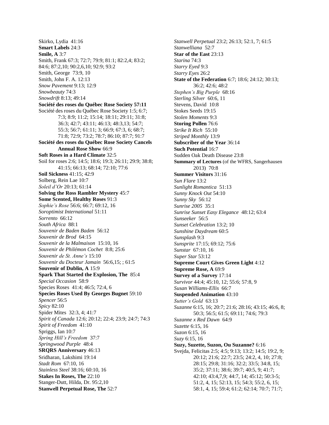Skirko, Lydia 41:16 **Smart Labels** 24:3 **Smile, A** 3:7 Smith, Frank 67:3; 72:7; 79:9; 81:1; 82:2,4; 83:2; 84:6; 87:2,10; 90:2,6,10; 92:9; 93:2 Smith, George 73:9, 10 Smith, John F. A. 12:13 *Snow Pavement* 9:13; 12:9 *Snowbeauty* 74:3 *Snowdrift* 8:13; 49:14 **Société des roses du Québec Rose Society 57:11** Société des roses du Québec Rose Society 1:5; 6:7; 7:3; 8:9; 11:2; 15:14; 18:11; 29:11; 31:8; 36:3; 42:7; 43:11; 46:13; 48:3,13; 54:7; 55:3; 56:7; 61:11; 3; 66:9; 67:3, 6; 68:7; 71:8; 72:9; 73:2; 78:7; 86:10; 87:7; 91:7 **Société des roses du Québec Rose Society Cancels Annual Rose Show** 66:9 **Soft Roses in a Hard Climate** 32:5 Soil for roses 2:6; 14:5; 18:6; 19:3; 26:11; 29:9; 38:8; 41:15; 66:13; 68:14; 72:10; 77:6 **Soil Sickness** 41:15; 42:9 Solberg, Rein Lae 10:7 *Soleil d'Or* 20:13; 61:14 **Solving the Ross Rambler Mystery** 45:7 **Some Scented, Healthy Roses** 91:3 *Sophie's Rose* 56:6; 66:7; 69:12, 16 *Soroptimist International* 51:11 *Sorrento* 66:12 *South Africa* 88:1 *Souvenir de Baden Baden* 56:12 *Souvenir de Brod* 64:15 *Souvenir de la Malmaison* 15:10, 16 *Souvenir de Philémon Cochet* 8:8; 25:6 *Souvenir de St. Anne's* 15:10 *Souvenir du Docteur Jamain* 56:6,15; ; 61:5 **Souvenir of Dublin, A** 15:9 **Spark That Started the Explosion, The** 85:4 *Special Occasion* 58:9 Species Roses 41:4; 46:5; 72:4, 6 **Species Roses Used By Georges Bugnet** 59:10 *Spencer* 56:5 *Spicy* 82:10 Spider Mites 32:3, 4; 41:7 *Spirit of Canada* 12:6; 20:12; 22:4; 23:9; 24:7; 74:3 *Spirit of Freedom* 41:10 Spriggs, Ian 10:7 *Spring Hill's Freedom* 37:7 *Springwood Purple* 48:4 **SRQRS Anniversary** 46:13 Sridharan, Lakshimi 19:14 *Stadt Rom* 67:10, 16 *Stainless Steel* 38:16; 60:10, 16 **Stakes In Roses, The** 22:10 Stanger-Dutt, Hilda, Dr. 95:2,10 **Stanwell Perpetual Rose, The** 52:7

*Stanwell Perpetual* 23:2; 26:13; 52:1, 7; 61:5 *Stanwelliana* 52:7 **Star of the East** 23:13 *Starina* 74:3 *Starry Eyed* 9:3 *Starry Eyes* 26:2 **State of the Federation** 6:7; 18:6; 24:12; 30:13; 36:2; 42:6; 48:2 *Stephen's Big Purple* 68:16 *Sterling Silver* 60:6, 11 Stevens, David 10:8 Stokes Seeds 19:15 *Stolen Moments* 9:3 **Storing Pollen** 76:6 *Strike It Rich* 55:10 *Striped Monthly* 13:9 **Subscriber of the Year** 36:14 **Such Potential** 16:7 Sudden Oak Death Disease 23:8 **Summary of Lectures** (of the WFRS, Sangerhausen 2013) 70:8 **Summer Visitors** 31:16 *Sun Flare* 13:2 *Sunlight Romantica* 51:13 *Sunny Knock Out* 54:10 *Sunny Sky* 56:12 *Sunrise 2005* 35:1 *Sunrise Sunset Easy Elegance* 48:12; 63:4 *Sunseeker* 56:5 *Sunset Celebration* 13:2; 10 *Sunshine Daydream* 60:5 *Sunsplash* 9:3 *Sunsprite* 17:15; 69:12; 75:6 *Sunstar* 67:10, 16 *Super Star* 53:12 **Supreme Court Gives Green Light** 4:12 **Supreme Rose, A** 69:9 **Survey of a Survey** 17:14 *Survivor* 44:4; 45:10, 12; 55:6; 57:8, 9 *Susan Williams-Ellis* 66:7 **Suspended Animation** 43:10 *Sutter's Gold* 63:13 *Suzanne* 6:15, 16; 20:7; 21:6; 28:16; 43:15; 46:6, 8; 50:3; 56:5; 61:5; 69:11; 74:6; 79:3 *Suzanne x Red Dawn* 64:9 *Suzette* 6:15, 16 *Suzon* 6:15, 16 *Suzy* 6:15, 16 **Suzy, Suzette, Suzon, Ou Suzanne?** 6:16 Svejda, Felicitas 2:5; 4:5; 9:13; 13:2; 14:5; 19:2, 9; 20:12; 21:6; 22:7; 23:5; 24:2, 4, 10; 27:8; 28:15; 29:8; 31:16; 32:2; 33:5; 34:8, 15; 35:2; 37:11; 38:6; 39:7; 40:5, 9; 41:7; 42:10; 43:4,7,9; 44:7, 14; 45:12; 50:3-5; 51:2, 4, 15; 52:13, 15; 54:3; 55:2, 6, 15; 58:1, 4, 15; 59:4; 61:2; 62:14; 70:7; 71:7;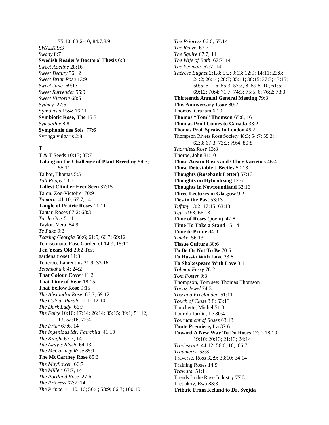### 75:10; 83:2-10; 84:7,8,9 *SWALK* 9:3 *Swany* 8:7 **Swedish Reader's Doctoral Thesis** 6:8 *Sweet Adeline* 28:16 *Sweet Beauty* 56:12 *Sweet Briar Rose* 13:9 *Sweet Jane* 69:13 *Sweet Surrender* 55:9 *Sweet Victoria* 68:5 *Sydney* 27:5 Symbiosis 15:4; 16:11 **Symbiotic Rose, The** 15:3 *Sympathie* 8:8 **Symphonie des Sols** 77:**6** Syringa vulgaris 2:8

#### **T**

T & T Seeds 10:13; 37:7 **Taking on the Challenge of Plant Breeding** 54:3; 55:11 Talbot, Thomas 5:5 *Tall Poppy* 53:6 **Tallest Climber Ever Seen** 37:15 Talon, Zoe-Victoire 70:9 *Tamora* 41:10; 67:7, 14 **Tangle of Prairie Roses** 11:11 Tantau Roses 67:2; 68:3 *Tarda Gris* 51:11 Taylor, Vera 84:9 *Te Puke* 9:3 *Teasing Georgia* 56:6; 61:5; 66:7; 69:12 Temiscouata, Rose Garden of 14:9; 15:10 **Ten Years Old** 20:2 Test gardens (rose) 11:3 Tetteroo, Laurentius 21:9; 33:16 *Tetonkaha* 6:4; 24:2 **That Colour Cover** 11:2 **That Time of Year** 18:15 **That Yellow Rose** 9:15 *The Alexandra Rose* 66:7; 69:12 *The Colour Purple* 11:1; 12:10 *The Dark Lady* 66:7 *The Fairy* 10:10; 17:14; 26:14; 35:15; 39:1; 51:12, 13; 52:16; 72:4 *The Friar* 67:6, 14 *The Ingenious Mr. Fairchild* 41:10 *The Knight* 67:7, 14 *The Lady's Blush* 64:13 *The McCartney Rose* 85:1 **The McCartney Rose** 85:3 *The Mayflower* 66:7 *The Miller* 67:7, 14 *The Portland Rose* 27:6 *The Prioress* 67:7, 14 *The Prince* 41:10, 16; 56:4; 58:9; 66:7; 100:10

*The Prioress* 66:6; 67:14 *The Reeve* 67:7 *The Squire* 67:7, 14 *The Wife of Bath* 67:7, 14 *The Yeoman* 67:7, 14 *Thérèse Bugnet* 2:1.8; 5:2; 9:13; 12:9; 14:11; 23:8; 24:2; 26:14; 28:7; 35:11; 36:15; 37:3; 43:15; 50:5; 51:16; 55:3; 57:5, 8; 59:8, 10; 61:5; 69:12; 70:4; 71:7; 74:3; 75:5, 6; 76:2; 78:3 **Thirteenth Annual General Meeting** 79:3 **This Anniversary Issue** 80:2 Thomas, Graham 6:10 **Thomas "Tom" Thomson** 65:8, 16 **Thomas Proll Comes to Canada** 33:2 **Thomas Proll Speaks In London** 45:2 Thompson Rivers Rose Society 48:3; 54:7; 55:3; 62:3; 67:3; 73:2; 79:4; 80:8 *Thornless Rose* 13:8 Thorpe, John 81:10 **Those Austin Roses and Other Varieties** 46:4 **Those Detestable J Beetles** 50:13 **Thoughts (Rosebank Letter)** 57:13 **Thoughts on Hybridizing** 12:6 **Thoughts in Newfoundland** 32:16 **Three Lectures in Glasgow** 9:2 **Ties to the Past** 53:13 *Tiffany* 13:2; 17:15; 63:13 *Tigris* 9:3; 66:13 **Time of Roses** (poem) 47:8 **Time To Take a Stand** 15:14 **Time to Prune** 84:3 *Tineke* 56:13 **Tissue Culture** 30:6 **To Be Or Not To Be** 70:5 **To Russia With Love** 23:8 **To Shakespeare With Love** 3:11 *Tolman Ferry* 76:2 *Tom Foster* 9:3 Thompson, Tom see: Thomas Thomson *Topaz Jewel* 74:3 *Toscana Freelander* 51:11 *Touch of Class* 8:8; 63:13 Touchette, Michel 51:3 Tour du Jardin, Le 80:4 *Tournament of Roses* 63:13 **Toute Premiere, La** 37:6 **Toward A New Way To Do Roses** 17:2; 18:10; 19:10; 20:13; 21:13; 24:14 *Tradescant* 44:12; 56:6, 16; 66:7 *Traumerei* 53:3 Traverse, Ross 32:9; 33:10; 34:14 Training Roses 14:9 *Traviata* 51:11 Trends In the Rose Industry 77:3 Tretiakov, Ewa 83:3 **Tribute From Iceland to Dr. Svejda**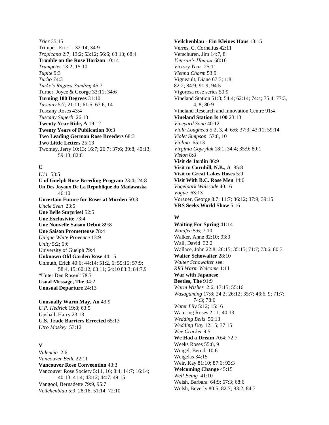*Trier* 35:15 Trimper, Eric L. 32:14; 34:9 *Tropicana* 2:7; 13:2; 53:12; 56:6; 63:13; 68:4 **Trouble on the Rose Horizon** 10:14 *Trumpeter* 13:2; 15:10 *Tupite* 9:3 *Turbo* 74:3 *Turke's Rugosa Samling* 45:7 Turner, Joyce & George 33:11; 34:6 **Turning 180 Degrees** 31:10 *Tuscany* 5:7; 21:11; 61:5; 67:6, 14 Tuscany Roses 43:4 *Tuscany Superb* 26:13 **Twenty Year Ride, A** 19:12 **Twenty Years of Publication** 80:3 **Two Leading German Rose Breeders** 68:3 **Two Little Letters** 25:13 Twomey, Jerry 10:13; 16:7; 26:7; 37:6; 39:8; 40:13; 59:13; 82:8

#### **U**

*U11* 53:**5 U of Guelph Rose Breeding Program** 23:4**;** 24:8 **Un Des Joyaux De La Republique du Madawaska** 46:10 **Uncertain Future for Roses at Morden** 50:3 *Uncle Sven* 23:5 **Une Belle Surprise!** 52:5 **Une Exclusivite** 73:4 **Une Nouvelle Saison Debut** 89:8 **Une Saison Prometteuse** 78:4 *Unique White Provence* 13:9 *Unity* 5:2; 6:6 University of Guelph 79:4 **Unknown Old Garden Rose** 44:15 Unmuth, Erich 40:6; 44:14; 51:2, 6; 55:15; 57:9; 58:4, 15; 60:12; 63:11; 64:10 83:3; 84:7,9 "Unter Den Rosen" 78:7 **Usual Message, The** 94:2 **Unusual Departure** 24:13

**Unusually Warm May, An** 43:9 *U.P. Hedrick* 19:8; 63:5 Upshall, Harry 23:13 **U.S. Trade Barriers Errected** 65:13 *Utro Moskvy* 53:12

## **V**

*Valencia* 2:6 *Vancouver Belle* 22:11 **Vancouver Rose Conveention** 43:3 Vancouver Rose Society 5:11, 16; 8:4; 14:7; 16:14; 40:13; 41:4; 43:12; 44:7; 49:15 Vangool, Bernadette 79:9, 95:7 *Veilchenblau* 5:9; 28:16; 51:14; 72:10

**Veilchenblau - Ein Kleines Haus** 18:15 Verres, C. Cornelius 42:11 Verschuren, Jim 14:7, 8 *Veteran's Honour* 68:16 *Victory Year* 25:11 *Vienna Charm* 53:9 Vigneault, Diane 67:3; 1:8; 82:2; 84:9; 91:9; 94:5 Vigorosa rose series 50:9 Vineland Station 51:3; 54:4; 62:14; 74:4; 75:4; 77:3, 4, 8; 80:9 Vineland Research and Innovation Centre 91:4 **Vineland Station Is 100** 23:13 *Vineyard Song* 40:12 *Viola Lougheed* 5:2, 3, 4; 6:6; 37:3; 43:11; 59:14 *Violet Simpson* 57:8, 10 *Violina* 65:13 *Virginia Goyryluk* 18:1; 34:4; 35:9; 80:1 *Vision* 8:8 **Visit de Jardin** 86:9 **Visit to Cornhill, N.B., A** 85:8 **Visit to Great Lakes Roses** 5:9 **Visit With B.C. Rose Men** 14:6 *Vogelpark Walsrode* 40:16 *Vogue* 63:13 Vorauer, George 8:7; 11:7; 36:12; 37:9; 39:15 **VRS Seeks World Show** 5:16

#### **W**

**Waiting For Spring** 41:14 *Waldfee* 5:6; 7:10 Walker, Anne 82:10; 93:3 Wall, David 32:2 Wallace, John 22:8; 28:15; 35:15; 71:7; 73:6; 80:3 **Walter Schowalter** 28:10 *Walter Schowalter* see: *RR3 Warm Welcome* 1:11 **War with Japanese Beetles, The** 91:9 *Warm Wishes* 2:6; 17:15; 55:16 *Wasagaming* 17:8; 24:2; 26:12; 35:7; 46:6, 9; 71:7; 74:3; 78:6 *Water Lily* 5:12; 15:16 Watering Roses 2:11; 40:13 *Wedding Bells* 56:13 *Wedding Day* 12:15; 37:15 *Wee Cracker* 9:5 **We Had a Dream** 70:4; 72:7 Weeks Roses 55:8, 9 Weigel, Bernd 10:6 Weigelas 34:15 Weir, Kay 81:10; 87:6; 93:3 **Welcoming Change** 45:15 *Well Being* 41:10 Welsh, Barbara 64:9; 67:3; 68:6 Welsh, Beverly 80:5; 82:7; 83:2; 84:7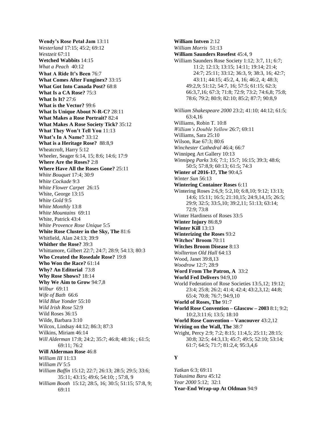**Wendy's Rose Petal Jam** 13:11 *Westerland* 17:15; 45:2; 69:12 *Westzeit* 67:11 **Wetched Wabbits** 14:15 *What a Peach* 40:12 **What A Ride It's Been** 76:7 **What Comes After Funginex?** 33:15 **What Got Into Canada Post?** 68:8 **What Is a CA Rose?** 75:3 **What Is It?** 27:6 **What is the Vector?** 99:6 **What Is Unique About N-R-C?** 28:11 **What Makes a Rose Portrait?** 82:4 **What Makes A Rose Society Tick?** 35:12 **What They Won't Tell You** 11:13 **What's In A Name?** 33:12 **What is a Heritage Rose?** 88:8,9 Wheatcroft, Harry 5:12 Wheeler, Seager 6:14, 15; 8:6; 14:6; 17:9 **Where Are the Roses?** 2:8 **Where Have All the Roses Gone?** 25:11 *White Bouquet* 17:4; 30:9 *White Cockade* 9:3 *White Flower Carpet* 26:15 White, George 13:15 *White Gold* 9:5 *White Monthly* 13:8 *White Mountains* 69:11 White, Patrick 43:4 *White Provence Rose Unique* 5:5 **White Rose Cluster in the Sky, The** 81:6 Whitfield, Alan 24:13; 39:9 **Whither the Rose?** 39:3 Whittamore, Gilbert 22:7; 24:7; 28:9; 54:13; 80:3 **Who Created the Rosedale Rose?** 19:8 **Who Won the Race?** 61:14 **Why? An Editorial** 73:8 **Why Rose Shows?** 18:14 **Why We Aim to Grow** 94:7,8 *Wilbur* 69:11 *Wife of Bath* 66:6 *Wild Blue Yonder* 55:10 *Wild Irish Rose* 52:9 Wild Roses 36:15 Wilde, Barbara 3:10 Wilcox, Lindsay 44:12; 86:3; 87:3 Wilkins, Miriam 46:14 *Will Alderman* 17:8; 24:2; 35:7; 46:8; 48:16; ; 61:5; 69:11; 76:2 **Will Alderman Rose** 46:8 *William III* 11:13 *William IV* 5:5 *William Baffin* 15:12; 22:7; 26:13; 28:5; 29:5; 33:6; 35:11; 43:15; 49:6; 54:10; ; 57:8, 9 *William Booth* 15:12; 28:5, 16; 30:5; 51:15; 57:8, 9; 69:11

**William Intven** 2:12 *William Morris* 51:13 **William Saunders Rosefest** 45:4, 9 William Saunders Rose Society 1:12; 3:7, 11; 6:7; 11:2; 12:13; 13:15; 14:11; 19:14; 21:4; 24:7; 25:11; 33:12; 36:3, 9; 38:3, 16; 42:7; 43:11; 44:15; 45:2, 4, 16; 46:2, 4; 48:3; 49:2,9; 51:12; 54:7, 16; 57:5; 61:15; 62:3; 66:3,7,16; 67:3; 71:8; 72:9; 73:2; 74:6,8; 75:8; 78:6; 79:2; 80:9; 82:10; 85:2; 87:7; 90:8,9 *William Shakespeare 2000* 23:2; 41:10; 44:12; 61:5; 63:4,16 Williams, Robin T. 10:8 *William's Double Yellow* 26:7; 69:11 Williams, Sara 25:10 Wilson, Rae 67:3; 80:6 *Winchester Cathedral* 46:4; 66:7 Winnipeg Art Gallery 10:13 *Winnipeg Parks* 3:6; 7:1; 15:7; 16:15; 39:3; 48:6; 50:5; 57:8,9; 60:13; 61:5; 74:3 **Winter of 2016-17, The** 90:4,5 *Winter Sun* 56:13 **Wintering Container Roses** 6:11 Wintering Roses 2:6,9; 5:2,10; 6:8,10; 9:12; 13:13; 14:6; 15:11; 16:5; 21:10,15; 24:9,14,15; 26:5; 29:9; 32:5; 33:5,10; 39:2,11; 51:13; 63:14; 72:9; 73:8 Winter Hardiness of Roses 33:5 **Winter Injury** 86:8,9 **Winter Kill** 13:13 **Winterizing the Roses** 93:2 **Witches' Broom** 70:11 **Witches Broom Disease** 8:13 *Wollterton Old Hall* 64:13 Wood, Janet 39:8,13 *Woodrow* 12:7; 28:9 **Word From The Patron, A** 33:2 **World Fed Delivers** 94:9,10 World Federation of Rose Societies 13:5,12; 19:12; 23:4; 25:8; 26:2; 41:4; 42:4; 43:2,3,12; 44:8; 65:4; 70:8; 76:7; 94:9,10 **World of Roses, The** 91:7 **World Rose Convention – Glascow – 2003** 8:1; 9:2; 10:2,3:11:6; 13:5; 18:10 **World Rose Convention – Vancouver** 43:2,12 **Writing on the Wall, The** 38:7 Wright, Percy 2:9; 7:2; 8:15; 11:4,5; 25:11; 28:15; 30:8; 32:5; 44:3,13; 45:7; 49:5; 52:10; 53:14; 61:7; 64:5; 71:7; 81:2,4; 95:3,4,6

## **Y**

*Yatkan* 6:3; 69:11 *Yakusima Baru* 45:12 *Year 2000* 5:12; 32:1 **Year-End Wrap-up At Oldman** 94:9